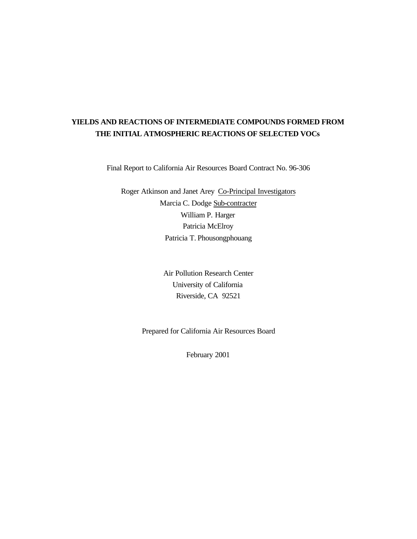# **YIELDS AND REACTIONS OF INTERMEDIATE COMPOUNDS FORMED FROM THE INITIAL ATMOSPHERIC REACTIONS OF SELECTED VOCs**

Final Report to California Air Resources Board Contract No. 96-306

Roger Atkinson and Janet Arey Co-Principal Investigators Marcia C. Dodge Sub-contracter William P. Harger Patricia McElroy Patricia T. Phousongphouang

> Air Pollution Research Center University of California Riverside, CA 92521

Prepared for California Air Resources Board

February 2001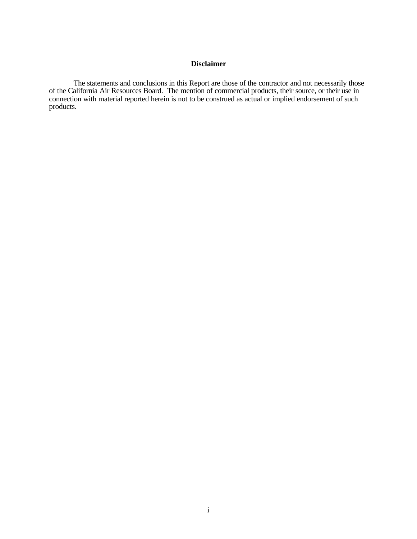### **Disclaimer**

The statements and conclusions in this Report are those of the contractor and not necessarily those of the California Air Resources Board. The mention of commercial products, their source, or their use in connection with material reported herein is not to be construed as actual or implied endorsement of such products.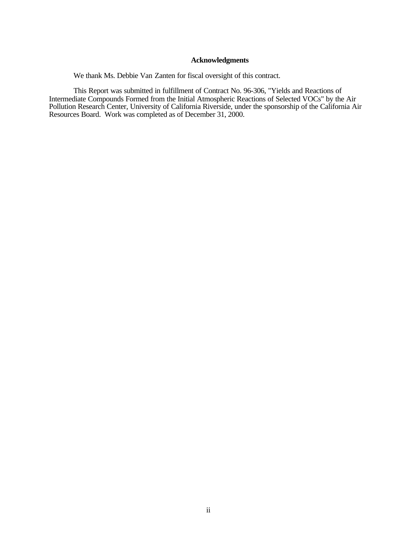### **Acknowledgments**

We thank Ms. Debbie Van Zanten for fiscal oversight of this contract.

This Report was submitted in fulfillment of Contract No. 96-306, "Yields and Reactions of Intermediate Compounds Formed from the Initial Atmospheric Reactions of Selected VOCs" by the Air Pollution Research Center, University of California Riverside, under the sponsorship of the California Air Resources Board. Work was completed as of December 31, 2000.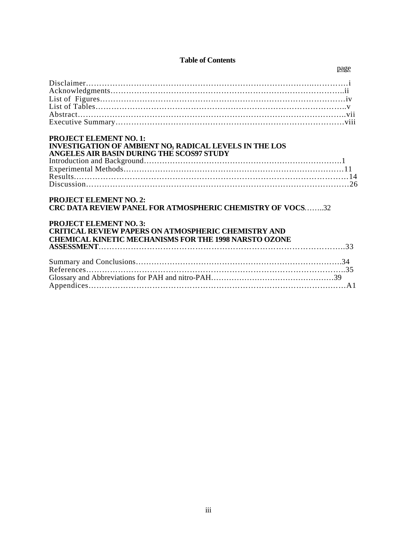### **Table of Contents**

| <b>PROJECT ELEMENT NO. 1:</b><br><b>INVESTIGATION OF AMBIENT NO3 RADICAL LEVELS IN THE LOS</b><br>ANGELES AIR BASIN DURING THE SCOS97 STUDY                                                                                                                      |  |
|------------------------------------------------------------------------------------------------------------------------------------------------------------------------------------------------------------------------------------------------------------------|--|
| <b>PROJECT ELEMENT NO. 2:</b><br><b>CRC DATA REVIEW PANEL FOR ATMOSPHERIC CHEMISTRY OF VOCS32</b><br><b>PROJECT ELEMENT NO. 3:</b><br><b>CRITICAL REVIEW PAPERS ON ATMOSPHERIC CHEMISTRY AND</b><br><b>CHEMICAL KINETIC MECHANISMS FOR THE 1998 NARSTO OZONE</b> |  |
|                                                                                                                                                                                                                                                                  |  |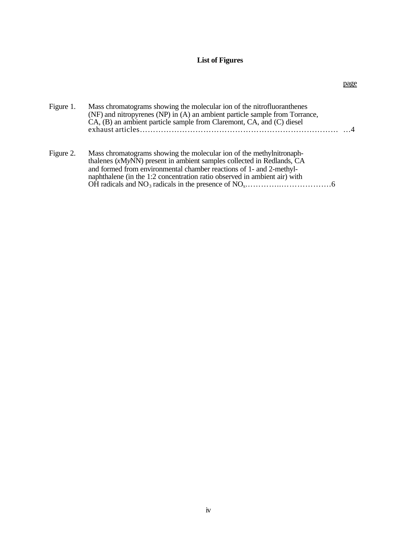### **List of Figures**

| Figure 1. | Mass chromatograms showing the molecular ion of the nitrofluoranthenes<br>(NF) and nitropyrenes (NP) in (A) an ambient particle sample from Torrance,<br>CA, (B) an ambient particle sample from Claremont, CA, and (C) diesel                                                                    |
|-----------|---------------------------------------------------------------------------------------------------------------------------------------------------------------------------------------------------------------------------------------------------------------------------------------------------|
| Figure 2. | Mass chromatograms showing the molecular ion of the methylnitronaph-<br>thalenes (xMyNN) present in ambient samples collected in Redlands, CA<br>and formed from environmental chamber reactions of 1- and 2-methyl-<br>naphthalene (in the 1:2 concentration ratio observed in ambient air) with |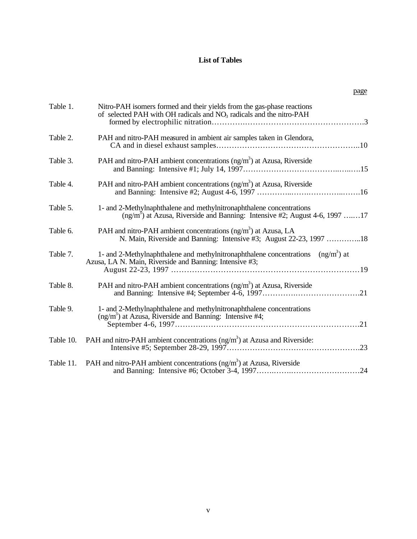### **List of Tables**

|--|

| Table 1.  | Nitro-PAH isomers formed and their yields from the gas-phase reactions<br>of selected PAH with OH radicals and NO <sub>3</sub> radicals and the nitro-PAH    |
|-----------|--------------------------------------------------------------------------------------------------------------------------------------------------------------|
| Table 2.  | PAH and nitro-PAH measured in ambient air samples taken in Glendora,                                                                                         |
| Table 3.  | PAH and nitro-PAH ambient concentrations $(ng/m3)$ at Azusa, Riverside                                                                                       |
| Table 4.  | PAH and nitro-PAH ambient concentrations (ng/m <sup>3</sup> ) at Azusa, Riverside                                                                            |
| Table 5.  | 1- and 2-Methylnaphthalene and methylnitronaphthalene concentrations<br>$(\text{ng/m}^3)$ at Azusa, Riverside and Banning: Intensive #2; August 4-6, 1997 17 |
| Table 6.  | PAH and nitro-PAH ambient concentrations (ng/m <sup>3</sup> ) at Azusa, LA<br>N. Main, Riverside and Banning: Intensive #3; August 22-23, 1997 18            |
| Table 7.  | 1- and 2-Methylnaphthalene and methylnitronaphthalene concentrations $(ng/m3)$ at<br>Azusa, LA N. Main, Riverside and Banning: Intensive #3;                 |
| Table 8.  | PAH and nitro-PAH ambient concentrations (ng/m <sup>3</sup> ) at Azusa, Riverside                                                                            |
| Table 9.  | 1- and 2-Methylnaphthalene and methylnitronaphthalene concentrations<br>$(ng/m3)$ at Azusa, Riverside and Banning: Intensive #4;                             |
| Table 10. | PAH and nitro-PAH ambient concentrations (ng/m <sup>3</sup> ) at Azusa and Riverside:                                                                        |
| Table 11. | PAH and nitro-PAH ambient concentrations (ng/m <sup>3</sup> ) at Azusa, Riverside                                                                            |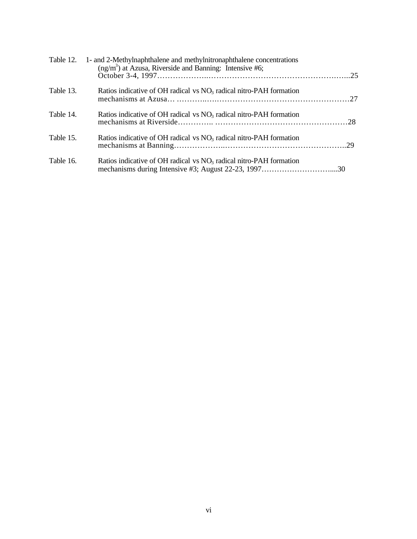|           | Table 12. 1- and 2-Methylnaphthalene and methylnitronaphthalene concentrations<br>$(ng/m3)$ at Azusa, Riverside and Banning: Intensive #6; |  |
|-----------|--------------------------------------------------------------------------------------------------------------------------------------------|--|
| Table 13. | Ratios indicative of OH radical vs $NO3$ radical nitro-PAH formation                                                                       |  |
| Table 14. | Ratios indicative of OH radical $\rm v_s\, NO_3$ radical nitro-PAH formation                                                               |  |
| Table 15. | Ratios indicative of OH radical $\rm v_s\, NO_3$ radical nitro-PAH formation                                                               |  |
| Table 16. | Ratios indicative of OH radical vs $NO3$ radical nitro-PAH formation                                                                       |  |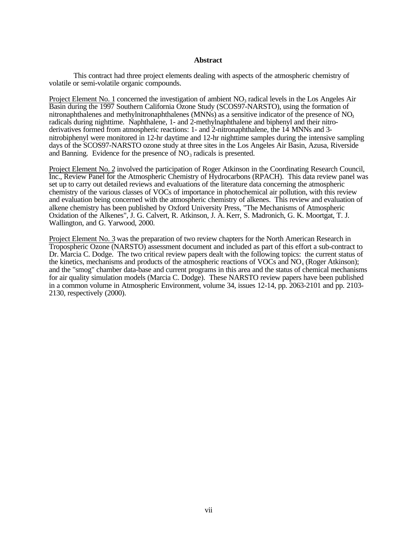### **Abstract**

This contract had three project elements dealing with aspects of the atmospheric chemistry of volatile or semi-volatile organic compounds.

Project Element No. 1 concerned the investigation of ambient  $NO<sub>3</sub>$  radical levels in the Los Angeles Air Basin during the 1997 Southern California Ozone Study (SCOS97-NARSTO), using the formation of nitronaphthalenes and methylnitronaphthalenes (MNNs) as a sensitive indicator of the presence of  $NO<sub>3</sub>$ radicals during nighttime. Naphthalene, 1- and 2-methylnaphthalene and biphenyl and their nitroderivatives formed from atmospheric reactions: 1- and 2-nitronaphthalene, the 14 MNNs and 3 nitrobiphenyl were monitored in 12-hr daytime and 12-hr nighttime samples during the intensive sampling days of the SCOS97-NARSTO ozone study at three sites in the Los Angeles Air Basin, Azusa, Riverside and Banning. Evidence for the presence of  $NO<sub>3</sub>$  radicals is presented.

Project Element No. 2 involved the participation of Roger Atkinson in the Coordinating Research Council, Inc., Review Panel for the Atmospheric Chemistry of Hydrocarbons (RPACH). This data review panel was set up to carry out detailed reviews and evaluations of the literature data concerning the atmospheric chemistry of the various classes of VOCs of importance in photochemical air pollution, with this review and evaluation being concerned with the atmospheric chemistry of alkenes. This review and evaluation of alkene chemistry has been published by Oxford University Press, "The Mechanisms of Atmospheric Oxidation of the Alkenes", J. G. Calvert, R. Atkinson, J. A. Kerr, S. Madronich, G. K. Moortgat, T. J. Wallington, and G. Yarwood, 2000.

Project Element No. 3 was the preparation of two review chapters for the North American Research in Tropospheric Ozone (NARSTO) assessment document and included as part of this effort a sub-contract to Dr. Marcia C. Dodge. The two critical review papers dealt with the following topics: the current status of the kinetics, mechanisms and products of the atmospheric reactions of VOCs and  $NO<sub>x</sub>$  (Roger Atkinson); and the "smog" chamber data-base and current programs in this area and the status of chemical mechanisms for air quality simulation models (Marcia C. Dodge). These NARSTO review papers have been published in a common volume in Atmospheric Environment, volume 34, issues 12-14, pp. 2063-2101 and pp. 2103- 2130, respectively (2000).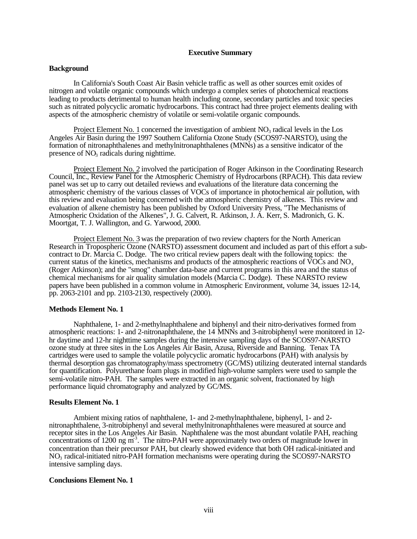### **Executive Summary**

#### **Background**

In California's South Coast Air Basin vehicle traffic as well as other sources emit oxides of nitrogen and volatile organic compounds which undergo a complex series of photochemical reactions leading to products detrimental to human health including ozone, secondary particles and toxic species such as nitrated polycyclic aromatic hydrocarbons. This contract had three project elements dealing with aspects of the atmospheric chemistry of volatile or semi-volatile organic compounds.

Project Element No. 1 concerned the investigation of ambient  $NO<sub>3</sub>$  radical levels in the Los Angeles Air Basin during the 1997 Southern California Ozone Study (SCOS97-NARSTO), using the formation of nitronaphthalenes and methylnitronaphthalenes (MNNs) as a sensitive indicator of the presence of  $NO<sub>3</sub>$  radicals during nighttime.

Project Element No. 2 involved the participation of Roger Atkinson in the Coordinating Research Council, Inc., Review Panel for the Atmospheric Chemistry of Hydrocarbons (RPACH). This data review panel was set up to carry out detailed reviews and evaluations of the literature data concerning the atmospheric chemistry of the various classes of VOCs of importance in photochemical air pollution, with this review and evaluation being concerned with the atmospheric chemistry of alkenes. This review and evaluation of alkene chemistry has been published by Oxford University Press, "The Mechanisms of Atmospheric Oxidation of the Alkenes", J. G. Calvert, R. Atkinson, J. A. Kerr, S. Madronich, G. K. Moortgat, T. J. Wallington, and G. Yarwood, 2000.

Project Element No. 3 was the preparation of two review chapters for the North American Research in Tropospheric Ozone (NARSTO) assessment document and included as part of this effort a subcontract to Dr. Marcia C. Dodge. The two critical review papers dealt with the following topics: the current status of the kinetics, mechanisms and products of the atmospheric reactions of  $\overline{V}O\overline{C}$ s and NO<sub>x</sub> (Roger Atkinson); and the "smog" chamber data-base and current programs in this area and the status of chemical mechanisms for air quality simulation models (Marcia C. Dodge). These NARSTO review papers have been published in a common volume in Atmospheric Environment, volume 34, issues 12-14, pp. 2063-2101 and pp. 2103-2130, respectively (2000).

#### **Methods Element No. 1**

Naphthalene, 1- and 2-methylnaphthalene and biphenyl and their nitro-derivatives formed from atmospheric reactions: 1- and 2-nitronaphthalene, the 14 MNNs and 3-nitrobiphenyl were monitored in 12 hr daytime and 12-hr nighttime samples during the intensive sampling days of the SCOS97-NARSTO ozone study at three sites in the Los Angeles Air Basin, Azusa, Riverside and Banning. Tenax TA cartridges were used to sample the volatile polycyclic aromatic hydrocarbons (PAH) with analysis by thermal desorption gas chromatography/mass spectrometry (GC/MS) utilizing deuterated internal standards for quantification. Polyurethane foam plugs in modified high-volume samplers were used to sample the semi-volatile nitro-PAH. The samples were extracted in an organic solvent, fractionated by high performance liquid chromatography and analyzed by GC/MS.

#### **Results Element No. 1**

Ambient mixing ratios of naphthalene, 1- and 2-methylnaphthalene, biphenyl, 1- and 2 nitronaphthalene, 3-nitrobiphenyl and several methylnitronaphthalenes were measured at source and receptor sites in the Los Angeles Air Basin. Naphthalene was the most abundant volatile PAH, reaching concentrations of 1200 ng  $\overline{m}^3$ . The nitro-PAH were approximately two orders of magnitude lower in concentration than their precursor PAH, but clearly showed evidence that both OH radical-initiated and NO3 radical-initiated nitro-PAH formation mechanisms were operating during the SCOS97-NARSTO intensive sampling days.

#### **Conclusions Element No. 1**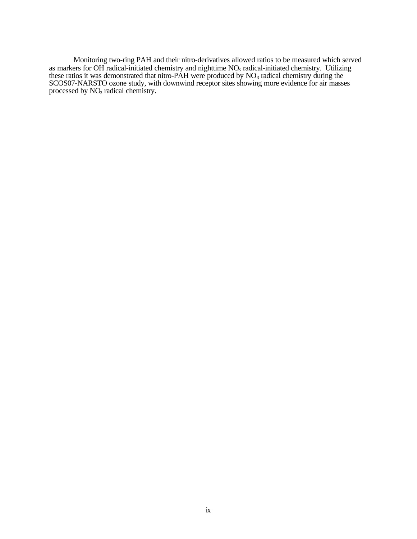Monitoring two-ring PAH and their nitro-derivatives allowed ratios to be measured which served as markers for OH radical-initiated chemistry and nighttime  $NO<sub>3</sub>$  radical-initiated chemistry. Utilizing these ratios it was demonstrated that nitro-PAH were produced by  $NO<sub>3</sub>$  radical chemistry during the SCOS07-NARSTO ozone study, with downwind receptor sites showing more evidence for air masses processed by NO<sub>3</sub> radical chemistry.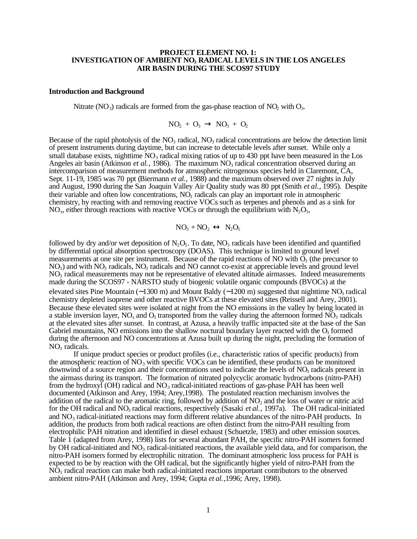### **PROJECT ELEMENT NO. 1: INVESTIGATION OF AMBIENT NO3 RADICAL LEVELS IN THE LOS ANGELES AIR BASIN DURING THE SCOS97 STUDY**

#### **Introduction and Background**

Nitrate (NO<sub>3</sub>) radicals are formed from the gas-phase reaction of NO<sub>2</sub> with O<sub>3</sub>.

$$
NO_2 + O_3 \rightarrow NO_3 + O_2
$$

Because of the rapid photolysis of the  $NO_3$  radical,  $NO_3$  radical concentrations are below the detection limit of present instruments during daytime, but can increase to detectable levels after sunset. While only a small database exists, nighttime  $NO<sub>3</sub>$  radical mixing ratios of up to 430 ppt have been measured in the Los Angeles air basin (Atkinson *et al.*, 1986). The maximum  $NO<sub>3</sub>$  radical concentration observed during an intercomparison of measurement methods for atmospheric nitrogenous species held in Claremont, CA, Sept. 11-19, 1985 was 70 ppt (Biermann *et al.*, 1988) and the maximum observed over 27 nights in July and August, 1990 during the San Joaquin Valley Air Quality study was 80 ppt (Smith *et al.*, 1995). Despite their variable and often low concentrations, NO<sub>3</sub> radicals can play an important role in atmospheric chemistry, by reacting with and removing reactive VOCs such as terpenes and phenols and as a sink for  $NO<sub>x</sub>$ , either through reactions with reactive VOCs or through the equilibrium with  $N<sub>2</sub>O<sub>5</sub>$ ,

$$
NO_3 + NO_2 \leftrightarrow N_2O_5
$$

followed by dry and/or wet deposition of  $N_2O_5$ . To date,  $NO_3$  radicals have been identified and quantified by differential optical absorption spectroscopy (DOAS). This technique is limited to ground level measurements at one site per instrument. Because of the rapid reactions of NO with  $\tilde{O}_3$  (the precursor to  $NO<sub>3</sub>$ ) and with  $NO<sub>3</sub>$  radicals,  $NO<sub>3</sub>$  radicals and  $NO$  cannot co-exist at appreciable levels and ground level NO3 radical measurements may not be representative of elevated altitude airmasses. Indeed measurements made during the SCOS97 - NARSTO study of biogenic volatile organic compounds (BVOCs) at the elevated sites Pine Mountain  $(-1300 \text{ m})$  and Mount Baldy  $(-1200 \text{ m})$  suggested that nighttime NO<sub>3</sub> radical chemistry depleted isoprene and other reactive BVOCs at these elevated sites (Reissell and Arey, 2001). Because these elevated sites were isolated at night from the NO emissions in the valley by being located in a stable inversion layer,  $NO<sub>x</sub>$  and  $O<sub>3</sub>$  transported from the valley during the afternoon formed  $NO<sub>3</sub>$  radicals at the elevated sites after sunset. In contrast, at Azusa, a heavily traffic impacted site at the base of the San Gabriel mountains, NO emissions into the shallow noctural boundary layer reacted with the  $O<sub>3</sub>$  formed during the afternoon and NO concentrations at Azusa built up during the night, precluding the formation of  $NO<sub>3</sub>$  radicals.

If unique product species or product profiles (i.e., characteristic ratios of specific products) from the atmospheric reaction of  $\overline{NO_3}$  with specific VOCs can be identified, these products can be monitored downwind of a source region and their concentrations used to indicate the levels of  $NO<sub>3</sub>$  radicals present in the airmass during its transport. The formation of nitrated polycyclic aromatic hydrocarbons (nitro-PAH) from the hydroxyl (OH) radical and  $NO<sub>3</sub>$  radical-initiated reactions of gas-phase PAH has been well documented (Atkinson and Arey, 1994; Arey,1998). The postulated reaction mechanism involves the addition of the radical to the aromatic ring, followed by addition of  $NO<sub>2</sub>$  and the loss of water or nitric acid for the OH radical and NO<sub>3</sub> radical reactions, respectively (Sasaki *et al.*, 1997a). The OH radical-initiated and  $NO<sub>3</sub>$  radical-initiated reactions may form different relative abundances of the nitro-PAH products. In addition, the products from both radical reactions are often distinct from the nitro-PAH resulting from electrophilic PAH nitration and identified in diesel exhaust (Schuetzle, 1983) and other emission sources. Table 1 (adapted from Arey, 1998) lists for several abundant PAH, the specific nitro-PAH isomers formed by OH radical-initiated and  $NO<sub>3</sub>$  radical-initiated reactions, the available yield data, and for comparison, the nitro-PAH isomers formed by electrophilic nitration. The dominant atmospheric loss process for PAH is expected to be by reaction with the OH radical, but the significantly higher yield of nitro-PAH from the NO3 radical reaction can make both radical-initiated reactions important contributors to the observed ambient nitro-PAH (Atkinson and Arey, 1994; Gupta *et al.*,1996; Arey, 1998).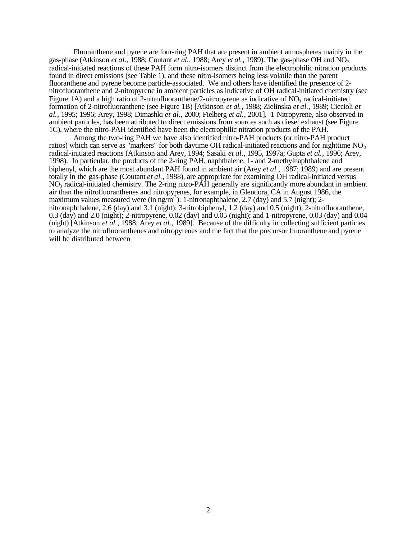Fluoranthene and pyrene are four-ring PAH that are present in ambient atmospheres mainly in the gas-phase (Atkinson *et al.*, 1988; Coutant *et al.*, 1988; Arey *et al.*, 1989). The gas-phase OH and NO<sub>3</sub> radical-initiated reactions of these PAH form nitro-isomers distinct from the electrophilic nitration products found in direct emissions (see Table 1), and these nitro-isomers being less volatile than the parent fluoranthene and pyrene become particle-associated. We and others have identified the presence of 2 nitrofluoranthene and 2-nitropyrene in ambient particles as indicative of OH radical-initiated chemistry (see Figure 1A) and a high ratio of 2-nitrofluoranthene/2-nitropyrene as indicative of  $NO<sub>3</sub>$  radical-initiated formation of 2-nitrofluoranthene (see Figure 1B) [Atkinson *et al.*, 1988; Zielinska *et al.*, 1989; Ciccioli *et al.*, 1995; 1996; Arey, 1998; Dimashki *et al.*, 2000; Fielberg *et al.*, 2001]. 1-Nitropyrene, also observed in ambient particles, has been attributed to direct emissions from sources such as diesel exhaust (see Figure 1C), where the nitro-PAH identified have been the electrophilic nitration products of the PAH.

Among the two-ring PAH we have also identified nitro-PAH products (or nitro-PAH product ratios) which can serve as "markers" for both daytime OH radical-initiated reactions and for nighttime  $NO<sub>3</sub>$ radical-initiated reactions (Atkinson and Arey, 1994; Sasaki *et al.*, 1995, 1997a; Gupta *et al.*, 1996; Arey, 1998). In particular, the products of the 2-ring PAH, naphthalene, 1- and 2-methylnaphthalene and biphenyl, which are the most abundant PAH found in ambient air (Arey *et al.*, 1987; 1989) and are present totally in the gas-phase (Coutant *et al.*, 1988), are appropriate for examining OH radical-initiated versus NO3 radical-initiated chemistry. The 2-ring nitro-PAH generally are significantly more abundant in ambient air than the nitrofluoranthenes and nitropyrenes, for example, in Glendora, CA in August 1986, the maximum values measured were (in  $\text{ng/m}^3$ ): 1-nitronaphthalene, 2.7 (day) and 5.7 (night); 2nitronaphthalene, 2.6 (day) and 3.1 (night); 3-nitrobiphenyl, 1.2 (day) and 0.5 (night); 2-nitrofluoranthene, 0.3 (day) and 2.0 (night); 2-nitropyrene, 0.02 (day) and 0.05 (night); and 1-nitropyrene, 0.03 (day) and 0.04 (night) [Atkinson *et al.*, 1988; Arey *et al.*, 1989]. Because of the difficulty in collecting sufficient particles to analyze the nitrofluoranthenes and nitropyrenes and the fact that the precursor fluoranthene and pyrene will be distributed between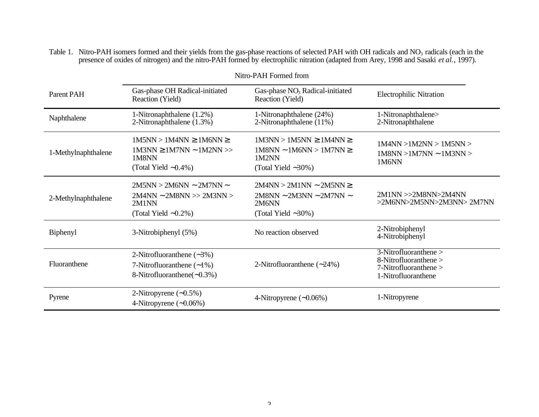Table 1. Nitro-PAH isomers formed and their yields from the gas-phase reactions of selected PAH with OH radicals and  $NO<sub>3</sub>$  radicals (each in the presence of oxides of nitrogen) and the nitro-PAH formed by electrophilic nitration (adapted from Arey, 1998 and Sasaki *et al.*, 1997).

|                     |                                                                                                             | Nitro-PAH Formed from                                                                                      |                                                                                                       |
|---------------------|-------------------------------------------------------------------------------------------------------------|------------------------------------------------------------------------------------------------------------|-------------------------------------------------------------------------------------------------------|
| Parent PAH          | Gas-phase OH Radical-initiated<br>Reaction (Yield)                                                          | Gas-phase $NO3$ Radical-initiated<br>Reaction (Yield)                                                      | <b>Electrophilic Nitration</b>                                                                        |
| Naphthalene         | 1-Nitronaphthalene (1.2%)<br>2-Nitronaphthalene (1.3%)                                                      | 1-Nitronaphthalene (24%)<br>2-Nitronaphthalene (11%)                                                       | 1-Nitronaphthalene><br>2-Nitronaphthalene                                                             |
| 1-Methylnaphthalene | $1M5NN > 1M4NN \ge 1M6NN \ge$<br>$1M3NN \ge 1M7NN \sim 1M2NN \gg$<br>1M8NN<br>(Total Yield $~0.4\%$ )       | $1M3NN > 1M5NN \ge 1M4NN \ge$<br>$1M8NN \sim 1M6NN > 1M7NN \geq$<br>1M2NN<br>(Total Yield $\sim$ 30%)      | 1M4NN > 1M2NN > 1M5NN ><br>$1$ M8NN > $1$ M7NN ~ $1$ M3NN ><br>1M6NN                                  |
| 2-Methylnaphthalene | $2M5NN > 2M6NN \sim 2M7NN \sim$<br>$2M4NN \sim 2M8NN \gg 2M3NN \gg$<br>2M1NN<br>(Total Yield $\sim 0.2\%$ ) | $2M4NN > 2M1NN \sim 2M5NN \geq$<br>$2M8NN \sim 2M3NN \sim 2M7NN \sim$<br>2M6NN<br>(Total Yield $\sim$ 30%) | 2M1NN > > 2M8NN > 2M4NN<br>>2M6NN>2M5NN>2M3NN>2M7NN                                                   |
| Biphenyl            | 3-Nitrobiphenyl (5%)                                                                                        | No reaction observed                                                                                       | 2-Nitrobiphenyl<br>4-Nitrobiphenyl                                                                    |
| Fluoranthene        | 2-Nitrofluoranthene $(-3%)$<br>7-Nitrofluoranthene $(-1\%)$<br>8-Nitrofluoranthene $(-0.3\%)$               | 2-Nitrofluoranthene $(-24%)$                                                                               | $3-Nitrofluoranthene >$<br>8-Nitrofluoranthene ><br>$7$ -Nitrofluoranthene $>$<br>1-Nitrofluoranthene |
| Pyrene              | 2-Nitropyrene $(-0.5\%)$<br>4-Nitropyrene $(-0.06%)$                                                        | 4-Nitropyrene $(-0.06\%)$                                                                                  | 1-Nitropyrene                                                                                         |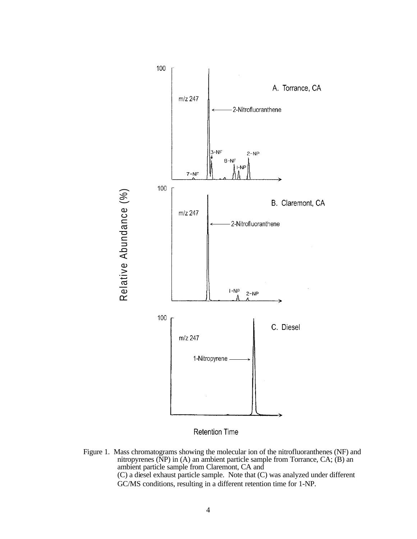

Retention Time

Figure 1. Mass chromatograms showing the molecular ion of the nitrofluoranthenes (NF) and nitropyrenes (NP) in (A) an ambient particle sample from Torrance, CA; (B) an ambient particle sample from Claremont, CA and (C) a diesel exhaust particle sample. Note that (C) was analyzed under different GC/MS conditions, resulting in a different retention time for 1-NP.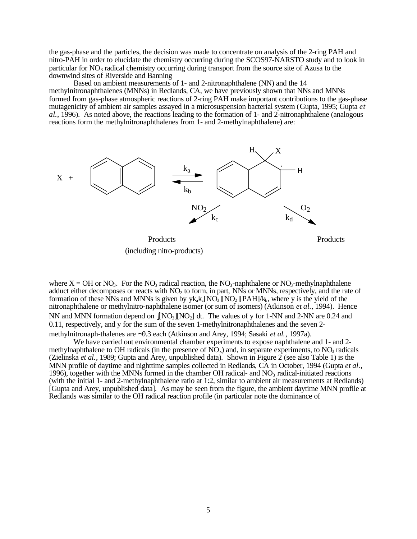the gas-phase and the particles, the decision was made to concentrate on analysis of the 2-ring PAH and nitro-PAH in order to elucidate the chemistry occurring during the SCOS97-NARSTO study and to look in particular for  $NO_3$  radical chemistry occurring during transport from the source site of Azusa to the downwind sites of Riverside and Banning

Based on ambient measurements of 1- and 2-nitronaphthalene (NN) and the 14 methylnitronaphthalenes (MNNs) in Redlands, CA, we have previously shown that NNs and MNNs formed from gas-phase atmospheric reactions of 2-ring PAH make important contributions to the gas-phase mutagenicity of ambient air samples assayed in a microsuspension bacterial system (Gupta, 1995; Gupta *et al.*, 1996). As noted above, the reactions leading to the formation of 1- and 2-nitronaphthalene (analogous reactions form the methylnitronaphthalenes from 1- and 2-methylnaphthalene) are:



(including nitro-products)

where  $X = OH$  or  $NO_3$ . For the  $NO_3$  radical reaction, the  $NO_3$ -naphthalene or  $NO_3$ -methylnaphthalene adduct either decomposes or reacts with NO<sub>2</sub> to form, in part, NNs or MNNs, respectively, and the rate of formation of these NNs and MNNs is given by  $y_{\rm kq}$ ( $\rm NO_3$ ][NO<sub>2</sub>][PAH]/k<sub>b</sub>, where y is the yield of the nitronaphthalene or methylnitro-naphthalene isomer (or sum of isomers) (Atkinson *et al.*, 1994). Hence NN and MNN formation depend on  $\int [NO_3][NO_2]$  dt. The values of y for 1-NN and 2-NN are 0.24 and 0.11, respectively, and y for the sum of the seven 1-methylnitronaphthalenes and the seven 2-

methylnitronaph-thalenes are ~0.3 each (Atkinson and Arey, 1994; Sasaki *et al.*, 1997a).<br>We have carried out environmental chamber experiments to expose naphthalene and 1- and 2methylnaphthalene to OH radicals (in the presence of  $\overline{NO_x}$ ) and, in separate experiments, to  $\overline{NO_x}$  radicals (Zielinska *et al.*, 1989; Gupta and Arey, unpublished data). Shown in Figure 2 (see also Table 1) is the MNN profile of daytime and nighttime samples collected in Redlands, CA in October, 1994 (Gupta *et al.*, 1996), together with the MNNs formed in the chamber OH radical- and  $NO<sub>3</sub>$  radical-initiated reactions (with the initial 1- and 2-methylnaphthalene ratio at 1:2, similar to ambient air measurements at Redlands) [Gupta and Arey, unpublished data]. As may be seen from the figure, the ambient daytime MNN profile at Redlands was similar to the OH radical reaction profile (in particular note the dominance of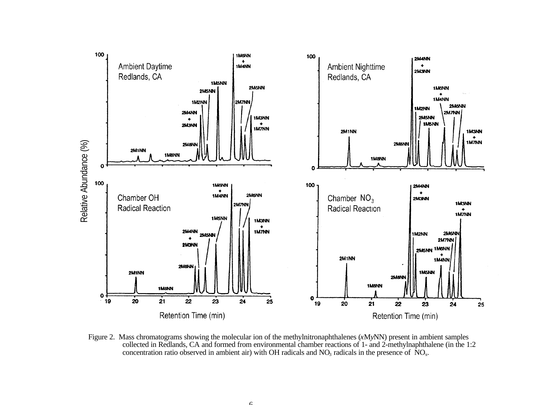

Figure 2. Mass chromatograms showing the molecular ion of the methylnitronaphthalenes (*x*M*y*NN) present in ambient samples collected in Redlands, CA and formed from environmental chamber reactions of 1- and 2-methylnaphthalene (in the 1:2 concentration ratio observed in ambient air) with OH radicals and  $NO<sub>3</sub>$  radicals in the presence of  $\rm NO<sub>x</sub>$ .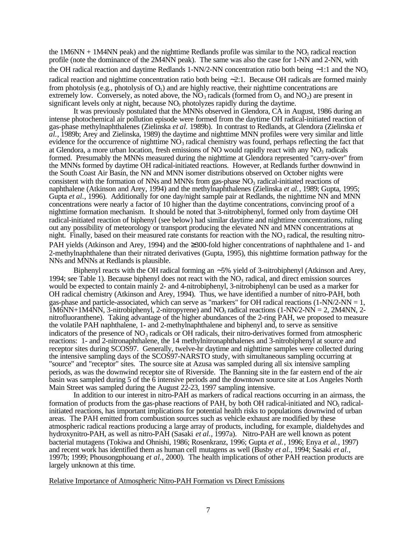the 1M6NN + 1M4NN peak) and the nighttime Redlands profile was similar to the  $NO<sub>3</sub>$  radical reaction profile (note the dominance of the 2M4NN peak). The same was also the case for 1-NN and 2-NN, with the OH radical reaction and daytime Redlands 1-NN/2-NN concentration ratio both being  $\sim$ 1:1 and the NO<sub>3</sub> radical reaction and nighttime concentration ratio both being  $\sim$ 2:1. Because OH radicals are formed mainly from photolysis (e.g., photolysis of  $O_3$ ) and are highly reactive, their nighttime concentrations are extremely low. Conversely, as noted above, the  $NO_3$  radicals (formed from  $O_3$  and  $NO_2$ ) are present in significant levels only at night, because NO<sub>3</sub> photolyzes rapidly during the daytime.

It was previously postulated that the MNNs observed in Glendora, CA in August, 1986 during an intense photochemical air pollution episode were formed from the daytime OH radical-initiated reaction of gas-phase methylnaphthalenes (Zielinska *et al.* 1989b). In contrast to Redlands, at Glendora (Zielinska *et al.*, 1989b; Arey and Zielinska, 1989) the daytime and nighttime MNN profiles were very similar and little evidence for the occurrence of nighttime  $NO<sub>3</sub>$  radical chemistry was found, perhaps reflecting the fact that at Glendora, a more urban location, fresh emissions of NO would rapidly react with any  $NO<sub>3</sub>$  radicals formed. Presumably the MNNs measured during the nighttime at Glendora represented "carry-over" from the MNNs formed by daytime OH radical-initiated reactions. However, at Redlands further downwind in the South Coast Air Basin, the NN and MNN isomer distributions observed on October nights were consistent with the formation of NNs and MNNs from gas-phase  $NO<sub>3</sub>$  radical-initiated reactions of naphthalene (Atkinson and Arey, 1994) and the methylnaphthalenes (Zielinska *et al.*, 1989; Gupta, 1995; Gupta *et al.*, 1996). Additionally for one day/night sample pair at Redlands, the nighttime NN and MNN concentrations were nearly a factor of 10 higher than the daytime concentrations, convincing proof of a nighttime formation mechanism. It should be noted that 3-nitrobiphenyl, formed only from daytime OH radical-initiated reaction of biphenyl (see below) had similar daytime and nighttime concentrations, ruling out any possibility of meteorology or transport producing the elevated NN and MNN concentrations at night. Finally, based on their measured rate constants for reaction with the  $NO<sub>3</sub>$  radical, the resulting nitro-PAH yields (Atkinson and Arey, 1994) and the  $\geq$ 300-fold higher concentrations of naphthalene and 1- and 2-methylnaphthalene than their nitrated derivatives (Gupta, 1995), this nighttime formation pathway for the NNs and MNNs at Redlands is plausible.

Biphenyl reacts with the OH radical forming an  $\sim$  5% yield of 3-nitrobiphenyl (Atkinson and Arey, 1994; see Table 1). Because biphenyl does not react with the  $NO<sub>3</sub>$  radical, and direct emission sources would be expected to contain mainly 2- and 4-nitrobiphenyl, 3-nitrobiphenyl can be used as a marker for OH radical chemistry (Atkinson and Arey, 1994). Thus, we have identified a number of nitro-PAH, both gas-phase and particle-associated, which can serve as "markers" for OH radical reactions  $(1-NN/2-NN = 1$ ,  $1M6NN+1M4NN$ , 3-nitrobiphenyl, 2-nitropyrene) and NO<sub>3</sub> radical reactions  $(1-NN/2-NN = 2, 2M4NN, 2-N)$ nitrofluoranthene). Taking advantage of the higher abundances of the 2-ring PAH, we proposed to measure the volatile PAH naphthalene, 1- and 2-methylnaphthalene and biphenyl and, to serve as sensitive indicators of the presence of  $NO<sub>3</sub>$  radicals or OH radicals, their nitro-derivatives formed from atmospheric reactions: 1- and 2-nitronaphthalene, the 14 methylnitronaphthalenes and 3-nitrobiphenyl at source and receptor sites during SCOS97. Generally, twelve-hr daytime and nighttime samples were collected during the intensive sampling days of the SCOS97-NARSTO study, with simultaneous sampling occurring at "source" and "receptor" sites. The source site at Azusa was sampled during all six intensive sampling periods, as was the downwind receptor site of Riverside. The Banning site in the far eastern end of the air basin was sampled during 5 of the 6 intensive periods and the downtown source site at Los Angeles North Main Street was sampled during the August 22-23, 1997 sampling intensive.

In addition to our interest in nitro-PAH as markers of radical reactions occurring in an airmass, the formation of products from the gas-phase reactions of PAH, by both OH radical-initiated and  $NO<sub>3</sub>$  radicalinitiated reactions, has important implications for potential health risks to populations downwind of urban areas. The PAH emitted from combustion sources such as vehicle exhaust are modified by these atmospheric radical reactions producing a large array of products, including, for example, dialdehydes and hydroxynitro-PAH, as well as nitro-PAH (Sasaki *et al.*, 1997a). Nitro-PAH are well known as potent bacterial mutagens (Tokiwa and Ohnishi, 1986; Rosenkranz, 1996; Gupta *et al.*, 1996; Enya *et al.*, 1997) and recent work has identified them as human cell mutagens as well (Busby *et al.*, 1994; Sasaki *et al.*, 1997b; 1999; Phousongphouang *et al.*, 2000). The health implications of other PAH reaction products are largely unknown at this time.

Relative Importance of Atmospheric Nitro-PAH Formation vs Direct Emissions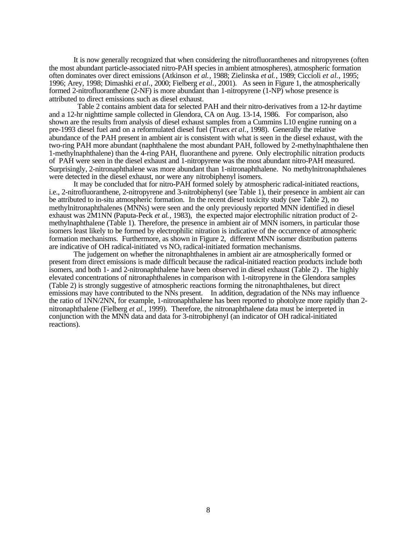It is now generally recognized that when considering the nitrofluoranthenes and nitropyrenes (often the most abundant particle-associated nitro-PAH species in ambient atmospheres), atmospheric formation often dominates over direct emissions (Atkinson *et al.*, 1988; Zielinska *et al.*, 1989; Ciccioli *et al.*, 1995; 1996; Arey, 1998; Dimashki *et al.*, 2000; Fielberg *et al.*, 2001). As seen in Figure 1, the atmospherically formed 2-nitrofluoranthene (2-NF) is more abundant than 1-nitropyrene (1-NP) whose presence is attributed to direct emissions such as diesel exhaust.

 Table 2 contains ambient data for selected PAH and their nitro-derivatives from a 12-hr daytime and a 12-hr nighttime sample collected in Glendora, CA on Aug. 13-14, 1986. For comparison, also shown are the results from analysis of diesel exhaust samples from a Cummins L10 engine running on a pre-1993 diesel fuel and on a reformulated diesel fuel (Truex *et al.*, 1998). Generally the relative abundance of the PAH present in ambient air is consistent with what is seen in the diesel exhaust, with the two-ring PAH more abundant (naphthalene the most abundant PAH, followed by 2-methylnaphthalene then 1-methylnaphthalene) than the 4-ring PAH, fluoranthene and pyrene. Only electrophilic nitration products of PAH were seen in the diesel exhaust and 1-nitropyrene was the most abundant nitro-PAH measured. Surprisingly, 2-nitronaphthalene was more abundant than 1-nitronaphthalene. No methylnitronaphthalenes were detected in the diesel exhaust, nor were any nitrobiphenyl isomers.

It may be concluded that for nitro-PAH formed solely by atmospheric radical-initiated reactions, i.e., 2-nitrofluoranthene, 2-nitropyrene and 3-nitrobiphenyl (see Table 1), their presence in ambient air can be attributed to in-situ atmospheric formation. In the recent diesel toxicity study (see Table 2), no methylnitronaphthalenes (MNNs) were seen and the only previously reported MNN identified in diesel exhaust was 2M1NN (Paputa-Peck *et al.*, 1983), the expected major electrophilic nitration product of 2 methylnaphthalene (Table 1). Therefore, the presence in ambient air of MNN isomers, in particular those isomers least likely to be formed by electrophilic nitration is indicative of the occurrence of atmospheric formation mechanisms. Furthermore, as shown in Figure 2, different MNN isomer distribution patterns are indicative of OH radical-initiated vs  $NO<sub>3</sub>$  radical-initiated formation mechanisms.

The judgement on whether the nitronaphthalenes in ambient air are atmospherically formed or present from direct emissions is made difficult because the radical-initiated reaction products include both isomers, and both 1- and 2-nitronaphthalene have been observed in diesel exhaust (Table 2) . The highly elevated concentrations of nitronaphthalenes in comparison with 1-nitropyrene in the Glendora samples (Table 2) is strongly suggestive of atmospheric reactions forming the nitronaphthalenes, but direct emissions may have contributed to the NNs present. In addition, degradation of the NNs may influence the ratio of 1NN/2NN, for example, 1-nitronaphthalene has been reported to photolyze more rapidly than 2 nitronaphthalene (Fielberg *et al.*, 1999). Therefore, the nitronaphthalene data must be interpreted in conjunction with the MNN data and data for 3-nitrobiphenyl (an indicator of OH radical-initiated reactions).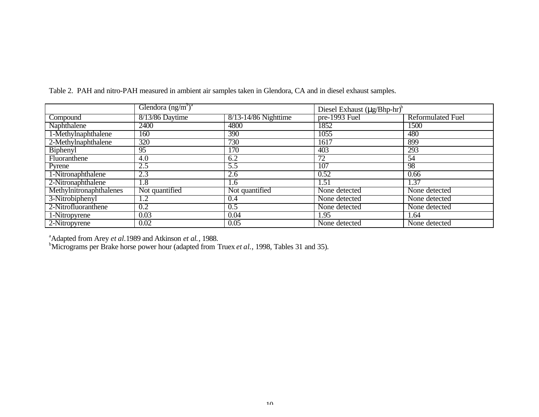|                         | Glendora $(ng/m^3)^a$ |                      | Diesel Exhaust $(\mu g/Bhp-hr)^6$ |                   |
|-------------------------|-----------------------|----------------------|-----------------------------------|-------------------|
| Compound                | $8/13/86$ Daytime     | 8/13-14/86 Nighttime | pre-1993 Fuel                     | Reformulated Fuel |
| Naphthalene             | 2400                  | 4800                 | 1852                              | 1500              |
| 1-Methylnaphthalene     | 160                   | 390                  | 1055                              | 480               |
| 2-Methylnaphthalene     | 320                   | 730                  | 1617                              | 899               |
| Biphenyl                | 95                    | 170                  | 403                               | 293               |
| Fluoranthene            | 4.0                   | 6.2                  | 72                                | 54                |
| Pyrene                  | 2.5                   | 5.5                  | 107                               | 98                |
| 1-Nitronaphthalene      | 2.3                   | 2.6                  | 0.52                              | 0.66              |
| 2-Nitronaphthalene      | 1.8                   | 1.6                  | 1.51                              | 1.37              |
| Methylnitronaphthalenes | Not quantified        | Not quantified       | None detected                     | None detected     |
| 3-Nitrobiphenyl         | 1.2                   | 0.4                  | None detected                     | None detected     |
| 2-Nitrofluoranthene     | 0.2                   | 0.5                  | None detected                     | None detected     |
| 1-Nitropyrene           | 0.03                  | 0.04                 | 1.95                              | 1.64              |
| 2-Nitropyrene           | 0.02                  | 0.05                 | None detected                     | None detected     |

Table 2. PAH and nitro-PAH measured in ambient air samples taken in Glendora, CA and in diesel exhaust samples.

<sup>a</sup> Adapted from Arey *et al.* 1989 and Atkinson *et al.*, 1988.<br><sup>b</sup> Micrograms per Brake horse power hour (adapted from Truex *et al.*, 1998, Tables 31 and 35).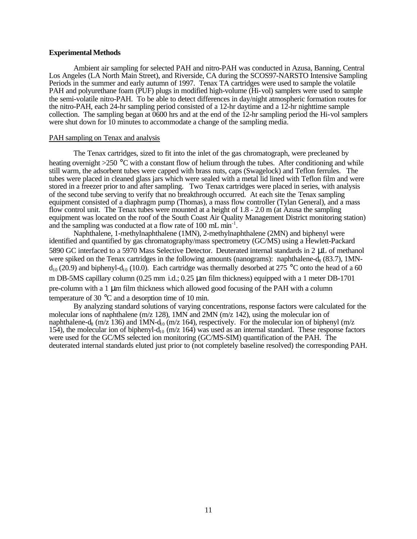### **Experimental Methods**

Ambient air sampling for selected PAH and nitro-PAH was conducted in Azusa, Banning, Central Los Angeles (LA North Main Street), and Riverside, CA during the SCOS97-NARSTO Intensive Sampling Periods in the summer and early autumn of 1997. Tenax TA cartridges were used to sample the volatile PAH and polyurethane foam (PUF) plugs in modified high-volume (Hi-vol) samplers were used to sample the semi-volatile nitro-PAH. To be able to detect differences in day/night atmospheric formation routes for the nitro-PAH, each 24-hr sampling period consisted of a 12-hr daytime and a 12-hr nighttime sample collection. The sampling began at 0600 hrs and at the end of the 12-hr sampling period the Hi-vol samplers were shut down for 10 minutes to accommodate a change of the sampling media.

### PAH sampling on Tenax and analysis

The Tenax cartridges, sized to fit into the inlet of the gas chromatograph, were precleaned by heating overnight >250 °C with a constant flow of helium through the tubes. After conditioning and while still warm, the adsorbent tubes were capped with brass nuts, caps (Swagelock) and Teflon ferrules. The tubes were placed in cleaned glass jars which were sealed with a metal lid lined with Teflon film and were stored in a freezer prior to and after sampling. Two Tenax cartridges were placed in series, with analysis of the second tube serving to verify that no breakthrough occurred. At each site the Tenax sampling equipment consisted of a diaphragm pump (Thomas), a mass flow controller (Tylan General), and a mass flow control unit. The Tenax tubes were mounted at a height of 1.8 - 2.0 m (at Azusa the sampling equipment was located on the roof of the South Coast Air Quality Management District monitoring station) and the sampling was conducted at a flow rate of 100 mL min<sup>-1</sup>.

Naphthalene, 1-methylnaphthalene (1MN), 2-methylnaphthalene (2MN) and biphenyl were identified and quantified by gas chromatography/mass spectrometry (GC/MS) using a Hewlett-Packard 5890 GC interfaced to a 5970 Mass Selective Detector. Deuterated internal standards in 2 µL of methanol were spiked on the Tenax cartridges in the following amounts (nanograms): naphthalene- $d_8$  (83.7), 1MN $d_{10}$  (20.9) and biphenyl- $d_{10}$  (10.0). Each cartridge was thermally desorbed at 275 °C onto the head of a 60 m DB-5MS capillary column (0.25 mm i.d.; 0.25  $\mu$ m film thickness) equipped with a 1 meter DB-1701  $pre$ -column with a 1  $\mu$ m film thickness which allowed good focusing of the PAH with a column temperature of 30 °C and a desorption time of 10 min.

By analyzing standard solutions of varying concentrations, response factors were calculated for the molecular ions of naphthalene (m/z 128), 1MN and 2MN (m/z 142), using the molecular ion of naphthalene-d<sub>8</sub> (m/z 136) and 1MN-d<sub>0</sub> (m/z 164), respectively. For the molecular ion of biphenyl (m/z 154), the molecular ion of biphenyl-d<sub>10</sub> (m/z 164) was used as an internal standard. These response factors were used for the GC/MS selected ion monitoring (GC/MS-SIM) quantification of the PAH. The deuterated internal standards eluted just prior to (not completely baseline resolved) the corresponding PAH.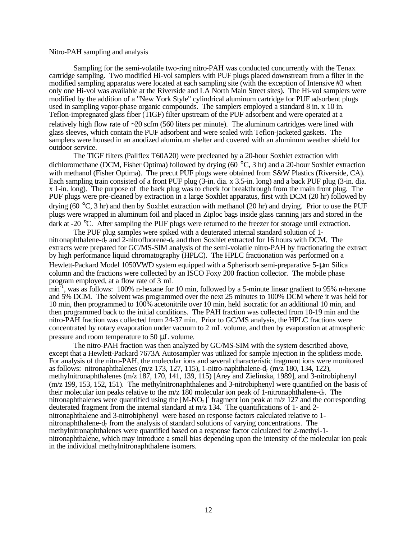### Nitro-PAH sampling and analysis

Sampling for the semi-volatile two-ring nitro-PAH was conducted concurrently with the Tenax cartridge sampling. Two modified Hi-vol samplers with PUF plugs placed downstream from a filter in the modified sampling apparatus were located at each sampling site (with the exception of Intensive #3 when only one Hi-vol was available at the Riverside and LA North Main Street sites). The Hi-vol samplers were modified by the addition of a "New York Style" cylindrical aluminum cartridge for PUF adsorbent plugs used in sampling vapor-phase organic compounds. The samplers employed a standard 8 in. x 10 in. Teflon-impregnated glass fiber (TIGF) filter upstream of the PUF adsorbent and were operated at a relatively high flow rate of  $\sim$  20 scfm (560 liters per minute). The aluminum cartridges were lined with glass sleeves, which contain the PUF adsorbent and were sealed with Teflon-jacketed gaskets. The samplers were housed in an anodized aluminum shelter and covered with an aluminum weather shield for outdoor service.

The TIGF filters (Pallflex T60A20) were precleaned by a 20-hour Soxhlet extraction with dichloromethane (DCM, Fisher Optima) followed by drying (60 °C, 3 hr) and a 20-hour Soxhlet extraction with methanol (Fisher Optima). The precut PUF plugs were obtained from S&W Plastics (Riverside, CA). Each sampling train consisted of a front PUF plug (3-in. dia. x 3.5-in. long) and a back PUF plug (3-in. dia. x 1-in. long). The purpose of the back plug was to check for breakthrough from the main front plug. The PUF plugs were pre-cleaned by extraction in a large Soxhlet apparatus, first with DCM (20 hr) followed by drying (60 °C, 3 hr) and then by Soxhlet extraction with methanol (20 hr) and drying. Prior to use the PUF plugs were wrapped in aluminum foil and placed in Ziploc bags inside glass canning jars and stored in the dark at -20 °C. After sampling the PUF plugs were returned to the freezer for storage until extraction.

The PUF plug samples were spiked with a deuterated internal standard solution of 1- nitronaphthalene-d<sub>7</sub> and 2-nitrofluorene-d<sub>9</sub> and then Soxhlet extracted for 16 hours with DCM. The extracts were prepared for GC/MS-SIM analysis of the semi-volatile nitro-PAH by fractionating the extract by high performance liquid chromatography (HPLC). The HPLC fractionation was performed on a Hewlett-Packard Model 1050VWD system equipped with a Spherisorb semi-preparative 5-µm Silica column and the fractions were collected by an ISCO Foxy 200 fraction collector. The mobile phase program employed, at a flow rate of 3 mL

min-1, was as follows: 100% n-hexane for 10 min, followed by a 5-minute linear gradient to 95% n-hexane and 5% DCM. The solvent was programmed over the next 25 minutes to 100% DCM where it was held for 10 min, then programmed to 100% acetonitrile over 10 min, held isocratic for an additional 10 min, and then programmed back to the initial conditions. The PAH fraction was collected from 10-19 min and the nitro-PAH fraction was collected from 24-37 min. Prior to GC/MS analysis, the HPLC fractions were concentrated by rotary evaporation under vacuum to 2 mL volume, and then by evaporation at atmospheric pressure and room temperature to 50 µL volume.

The nitro-PAH fraction was then analyzed by GC/MS-SIM with the system described above, except that a Hewlett-Packard 7673A Autosampler was utilized for sample injection in the splitless mode. For analysis of the nitro-PAH, the molecular ions and several characteristic fragment ions were monitored as follows: nitronaphthalenes (m/z 173, 127, 115), 1-nitro-naphthalene-d<sub>7</sub> (m/z 180, 134, 122), methylnitronaphthalenes (m/z 187, 170, 141, 139, 115) [Arey and Zielinska, 1989], and 3-nitrobiphenyl (m/z 199, 153, 152, 151). The methylnitronaphthalenes and 3-nitrobiphenyl were quantified on the basis of their molecular ion peaks relative to the m/z 180 molecular ion peak of 1-nitronaphthalene- $d_7$ . The nitronaphthalenes were quantified using the  $[M-NO_2]^+$  fragment ion peak at m/z 127 and the corresponding deuterated fragment from the internal standard at m/z 134. The quantifications of 1- and 2 nitronaphthalene and 3-nitrobiphenyl were based on response factors calculated relative to 1 nitronaphthalene- $d_7$  from the analysis of standard solutions of varying concentrations. The methylnitronaphthalenes were quantified based on a response factor calculated for 2-methyl-1 nitronaphthalene, which may introduce a small bias depending upon the intensity of the molecular ion peak in the individual methylnitronaphthalene isomers.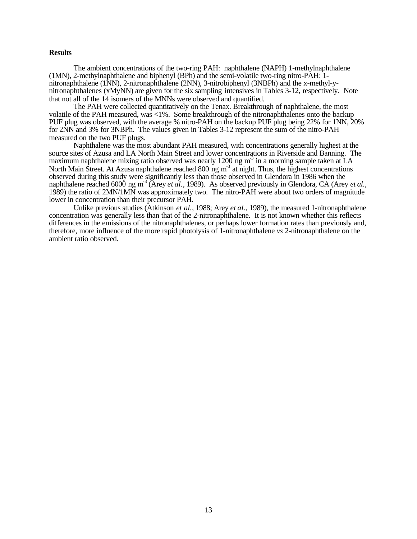### **Results**

The ambient concentrations of the two-ring PAH: naphthalene (NAPH) 1-methylnaphthalene (1MN), 2-methylnaphthalene and biphenyl (BPh) and the semi-volatile two-ring nitro-PAH: 1 nitronaphthalene (1NN), 2-nitronaphthalene (2NN), 3-nitrobiphenyl (3NBPh) and the x-methyl-ynitronaphthalenes (xMyNN) are given for the six sampling intensives in Tables 3-12, respectively. Note that not all of the 14 isomers of the MNNs were observed and quantified.

The PAH were collected quantitatively on the Tenax. Breakthrough of naphthalene, the most volatile of the PAH measured, was <1%. Some breakthrough of the nitronaphthalenes onto the backup PUF plug was observed, with the average % nitro-PAH on the backup PUF plug being 22% for 1NN, 20% for 2NN and 3% for 3NBPh. The values given in Tables 3-12 represent the sum of the nitro-PAH measured on the two PUF plugs.

Naphthalene was the most abundant PAH measured, with concentrations generally highest at the source sites of Azusa and LA North Main Street and lower concentrations in Riverside and Banning. The maximum naphthalene mixing ratio observed was nearly 1200 ng  $m<sup>3</sup>$  in a morning sample taken at LA North Main Street. At Azusa naphthalene reached 800 ng m<sup>3</sup> at night. Thus, the highest concentrations observed during this study were significantly less than those observed in Glendora in 1986 when the naphthalene reached 6000 ng m<sup>-3</sup> (Arey *et al.*, 1989). As observed previously in Glendora, CA (Arey *et al.*, 1989) the ratio of 2MN/1MN was approximately two. The nitro-PAH were about two orders of magnitude lower in concentration than their precursor PAH.

Unlike previous studies (Atkinson *et al.*, 1988; Arey *et al.*, 1989), the measured 1-nitronaphthalene concentration was generally less than that of the 2-nitronaphthalene. It is not known whether this reflects differences in the emissions of the nitronaphthalenes, or perhaps lower formation rates than previously and, therefore, more influence of the more rapid photolysis of 1-nitronaphthalene *vs* 2-nitronaphthalene on the ambient ratio observed.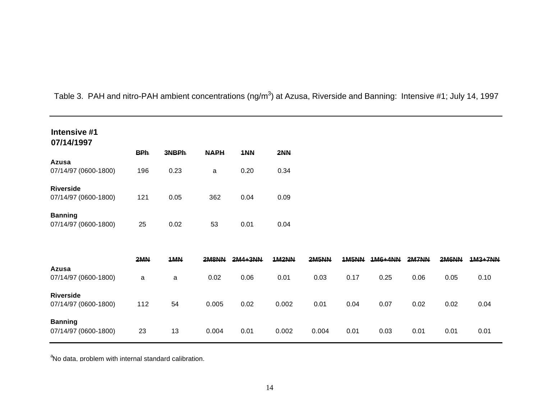| Intensive #1<br>07/14/1997               |            |       |             |         |       |       |              |           |       |       |                |
|------------------------------------------|------------|-------|-------------|---------|-------|-------|--------------|-----------|-------|-------|----------------|
|                                          | <b>BPh</b> | 3NBPh | <b>NAPH</b> | 1NN     | 2NN   |       |              |           |       |       |                |
| Azusa<br>07/14/97 (0600-1800)            | 196        | 0.23  | a           | 0.20    | 0.34  |       |              |           |       |       |                |
| <b>Riverside</b><br>07/14/97 (0600-1800) | 121        | 0.05  | 362         | 0.04    | 0.09  |       |              |           |       |       |                |
| <b>Banning</b><br>07/14/97 (0600-1800)   | 25         | 0.02  | 53          | 0.01    | 0.04  |       |              |           |       |       |                |
|                                          | 2MN        | 1MN   | 2M8NN       | 2M4+3NN | 1M2NN | 2M5NN | <b>1M5NN</b> | $1M6+4NN$ | 2M7NN | 2M6NN | <b>1M3+7NN</b> |
| Azusa<br>07/14/97 (0600-1800)            | a          | a     | 0.02        | 0.06    | 0.01  | 0.03  | 0.17         | 0.25      | 0.06  | 0.05  | 0.10           |
| <b>Riverside</b><br>07/14/97 (0600-1800) | 112        | 54    | 0.005       | 0.02    | 0.002 | 0.01  | 0.04         | 0.07      | 0.02  | 0.02  | 0.04           |
| <b>Banning</b><br>07/14/97 (0600-1800)   | 23         | 13    | 0.004       | 0.01    | 0.002 | 0.004 | 0.01         | 0.03      | 0.01  | 0.01  | 0.01           |

Table 3. PAH and nitro-PAH ambient concentrations (ng/m<sup>3</sup>) at Azusa, Riverside and Banning: Intensive #1; July 14, 1997

<sup>a</sup>No data. problem with internal standard calibration.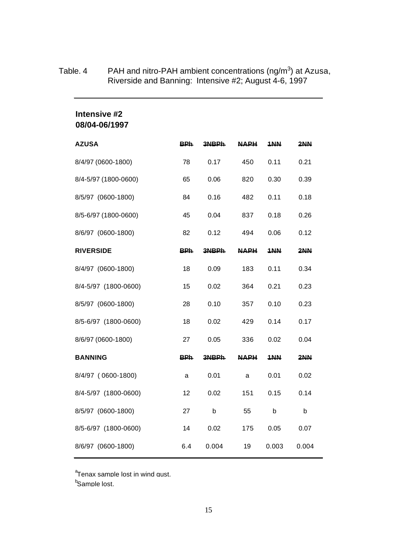| Intensive #2<br>08/04-06/1997 |            |       |             |                    |       |
|-------------------------------|------------|-------|-------------|--------------------|-------|
| <b>AZUSA</b>                  | <b>BPh</b> | 3NBPh | <b>NAPH</b> | $1$ <sub>N</sub> N | 2NN   |
| 8/4/97 (0600-1800)            | 78         | 0.17  | 450         | 0.11               | 0.21  |
| 8/4-5/97 (1800-0600)          | 65         | 0.06  | 820         | 0.30               | 0.39  |
| 8/5/97 (0600-1800)            | 84         | 0.16  | 482         | 0.11               | 0.18  |
| 8/5-6/97 (1800-0600)          | 45         | 0.04  | 837         | 0.18               | 0.26  |
| 8/6/97 (0600-1800)            | 82         | 0.12  | 494         | 0.06               | 0.12  |
| <b>RIVERSIDE</b>              | <b>BPh</b> | 3NBPh | <b>NAPH</b> | 1NN                | 2NN   |
| 8/4/97 (0600-1800)            | 18         | 0.09  | 183         | 0.11               | 0.34  |
| 8/4-5/97 (1800-0600)          | 15         | 0.02  | 364         | 0.21               | 0.23  |
| 8/5/97 (0600-1800)            | 28         | 0.10  | 357         | 0.10               | 0.23  |
| 8/5-6/97 (1800-0600)          | 18         | 0.02  | 429         | 0.14               | 0.17  |
| 8/6/97 (0600-1800)            | 27         | 0.05  | 336         | 0.02               | 0.04  |
| <b>BANNING</b>                | <b>BPh</b> | 3NBPh | <b>NAPH</b> | 1NN                | 2NN   |
| 8/4/97 (0600-1800)            | a          | 0.01  | a           | 0.01               | 0.02  |
| 8/4-5/97 (1800-0600)          | 12         | 0.02  | 151         | 0.15               | 0.14  |
| 8/5/97 (0600-1800)            | 27         | b     | 55          | b                  | b     |
| 8/5-6/97 (1800-0600)          | 14         | 0.02  | 175         | 0.05               | 0.07  |
| 8/6/97 (0600-1800)            | 6.4        | 0.004 | 19          | 0.003              | 0.004 |

### Table. 4 PAH and nitro-PAH ambient concentrations (ng/m<sup>3</sup>) at Azusa, Riverside and Banning: Intensive #2; August 4-6, 1997

 ${}^{\rm a}$ Tenax sample lost in wind qust.

<sup>b</sup>Sample lost.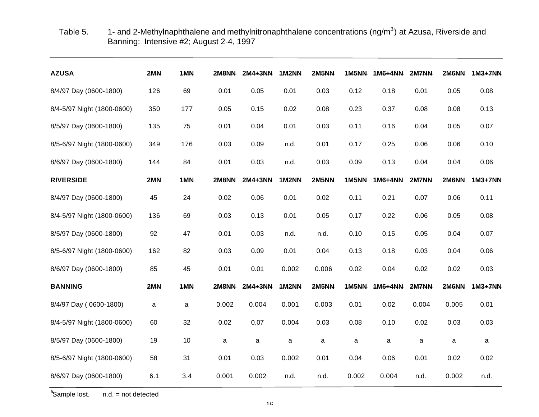Table 5. 1- and 2-Methylnaphthalene and methylnitronaphthalene concentrations (ng/m<sup>3</sup>) at Azusa, Riverside and Banning: Intensive #2; August 2-4, 1997

| <b>AZUSA</b>               | 2MN | 1MN | 2M8NN | $2MA+3NN$ | <b>1M2NN</b> | 2M5NN        | 1M5NN | $1M6+4NN$ | 2M7NN | 2M6NN | 1M3+7NN |
|----------------------------|-----|-----|-------|-----------|--------------|--------------|-------|-----------|-------|-------|---------|
| 8/4/97 Day (0600-1800)     | 126 | 69  | 0.01  | 0.05      | 0.01         | 0.03         | 0.12  | 0.18      | 0.01  | 0.05  | 0.08    |
| 8/4-5/97 Night (1800-0600) | 350 | 177 | 0.05  | 0.15      | 0.02         | 0.08         | 0.23  | 0.37      | 0.08  | 0.08  | 0.13    |
| 8/5/97 Day (0600-1800)     | 135 | 75  | 0.01  | 0.04      | 0.01         | 0.03         | 0.11  | 0.16      | 0.04  | 0.05  | 0.07    |
| 8/5-6/97 Night (1800-0600) | 349 | 176 | 0.03  | 0.09      | n.d.         | 0.01         | 0.17  | 0.25      | 0.06  | 0.06  | 0.10    |
| 8/6/97 Day (0600-1800)     | 144 | 84  | 0.01  | 0.03      | n.d.         | 0.03         | 0.09  | 0.13      | 0.04  | 0.04  | 0.06    |
| <b>RIVERSIDE</b>           | 2MN | 1MN | 2M8NN | $2MA+3NN$ | <b>1M2NN</b> | <b>2M5NN</b> | 1M5NN | 1M6+4NN   | 2M7NN | 2M6NN | 1M3+7NN |
| 8/4/97 Day (0600-1800)     | 45  | 24  | 0.02  | 0.06      | 0.01         | 0.02         | 0.11  | 0.21      | 0.07  | 0.06  | 0.11    |
| 8/4-5/97 Night (1800-0600) | 136 | 69  | 0.03  | 0.13      | 0.01         | 0.05         | 0.17  | 0.22      | 0.06  | 0.05  | 0.08    |
| 8/5/97 Day (0600-1800)     | 92  | 47  | 0.01  | 0.03      | n.d.         | n.d.         | 0.10  | 0.15      | 0.05  | 0.04  | 0.07    |
| 8/5-6/97 Night (1800-0600) | 162 | 82  | 0.03  | 0.09      | 0.01         | 0.04         | 0.13  | 0.18      | 0.03  | 0.04  | 0.06    |
| 8/6/97 Day (0600-1800)     | 85  | 45  | 0.01  | 0.01      | 0.002        | 0.006        | 0.02  | 0.04      | 0.02  | 0.02  | 0.03    |
| <b>BANNING</b>             | 2MM | 1MN | 2M8NN | $2MA+3NN$ | 1M2NN        | 2M5NN        | 1M5NN | 1M6+4NN   | 2M7NN | 2M6NN | 1M3+7NN |
| 8/4/97 Day (0600-1800)     | a   | a   | 0.002 | 0.004     | 0.001        | 0.003        | 0.01  | 0.02      | 0.004 | 0.005 | 0.01    |
| 8/4-5/97 Night (1800-0600) | 60  | 32  | 0.02  | 0.07      | 0.004        | 0.03         | 0.08  | 0.10      | 0.02  | 0.03  | 0.03    |
| 8/5/97 Day (0600-1800)     | 19  | 10  | a     | a         | a            | a            | a     | a         | a     | a     | a       |
| 8/5-6/97 Night (1800-0600) | 58  | 31  | 0.01  | 0.03      | 0.002        | 0.01         | 0.04  | 0.06      | 0.01  | 0.02  | 0.02    |
| 8/6/97 Day (0600-1800)     | 6.1 | 3.4 | 0.001 | 0.002     | n.d.         | n.d.         | 0.002 | 0.004     | n.d.  | 0.002 | n.d.    |

<sup>a</sup>Sample lost.  $n.d.$  = not detected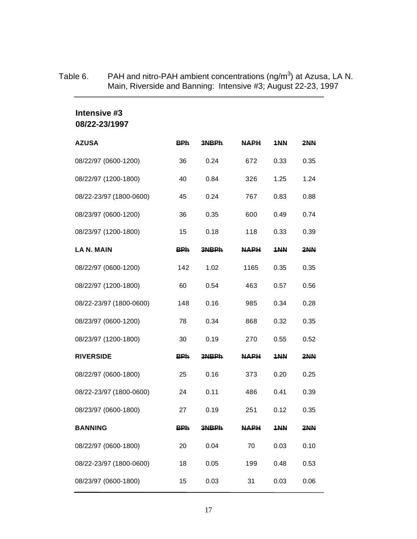# Table 6. PAH and nitro-PAH ambient concentrations (ng/m<sup>3</sup>) at Azusa, LA N. Main, Riverside and Banning: Intensive #3; August 22-23, 1997

# **Intensive #3 08/22-23/1997**

| <b>AZUSA</b>            | <b>BPh</b> | 3NBPh | <b>NAPH</b> | 1NN  | 2NN  |
|-------------------------|------------|-------|-------------|------|------|
| 08/22/97 (0600-1200)    | 36         | 0.24  | 672         | 0.33 | 0.35 |
| 08/22/97 (1200-1800)    | 40         | 0.84  | 326         | 1.25 | 1.24 |
| 08/22-23/97 (1800-0600) | 45         | 0.24  | 767         | 0.83 | 0.88 |
| 08/23/97 (0600-1200)    | 36         | 0.35  | 600         | 0.49 | 0.74 |
| 08/23/97 (1200-1800)    | 15         | 0.18  | 118         | 0.33 | 0.39 |
| LA N. MAIN              | <b>BPh</b> | 3NBPh | <b>NAPH</b> | 1NN  | 2NN  |
| 08/22/97 (0600-1200)    | 142        | 1.02  | 1165        | 0.35 | 0.35 |
| 08/22/97 (1200-1800)    | 60         | 0.54  | 463         | 0.57 | 0.56 |
| 08/22-23/97 (1800-0600) | 148        | 0.16  | 985         | 0.34 | 0.28 |
| 08/23/97 (0600-1200)    | 78         | 0.34  | 868         | 0.32 | 0.35 |
| 08/23/97 (1200-1800)    | 30         | 0.19  | 270         | 0.55 | 0.52 |
| <b>RIVERSIDE</b>        | <b>BPh</b> | 3NBPh | <b>NAPH</b> | 1NN  | 2NN  |
| 08/22/97 (0600-1800)    | 25         | 0.16  | 373         | 0.20 | 0.25 |
| 08/22-23/97 (1800-0600) | 24         | 0.11  | 486         | 0.41 | 0.39 |
| 08/23/97 (0600-1800)    | 27         | 0.19  | 251         | 0.12 | 0.35 |
| <b>BANNING</b>          | <b>BPh</b> | 3NBPh | <b>NAPH</b> | 1NN  | 2NN  |
| 08/22/97 (0600-1800)    | 20         | 0.04  | 70          | 0.03 | 0.10 |
| 08/22-23/97 (1800-0600) | 18         | 0.05  | 199         | 0.48 | 0.53 |
| 08/23/97 (0600-1800)    | 15         | 0.03  | 31          | 0.03 | 0.06 |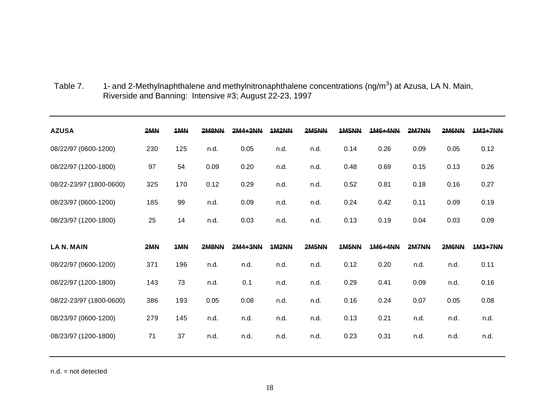| <b>AZUSA</b>            | 2MN | 1MN | 2M8NN | 2M4+3NN | <b>1M2NN</b> | 2M5NN | 1M5NN        | $1M6+4NN$ | 2M7NN | 2M6NN | $1M3+7NN$ |
|-------------------------|-----|-----|-------|---------|--------------|-------|--------------|-----------|-------|-------|-----------|
| 08/22/97 (0600-1200)    | 230 | 125 | n.d.  | 0.05    | n.d.         | n.d.  | 0.14         | 0.26      | 0.09  | 0.05  | 0.12      |
| 08/22/97 (1200-1800)    | 97  | 54  | 0.09  | 0.20    | n.d.         | n.d.  | 0.48         | 0.69      | 0.15  | 0.13  | 0.26      |
| 08/22-23/97 (1800-0600) | 325 | 170 | 0.12  | 0.29    | n.d.         | n.d.  | 0.52         | 0.81      | 0.18  | 0.16  | 0.27      |
| 08/23/97 (0600-1200)    | 185 | 99  | n.d.  | 0.09    | n.d.         | n.d.  | 0.24         | 0.42      | 0.11  | 0.09  | 0.19      |
| 08/23/97 (1200-1800)    | 25  | 14  | n.d.  | 0.03    | n.d.         | n.d.  | 0.13         | 0.19      | 0.04  | 0.03  | 0.09      |
|                         |     |     |       |         |              |       |              |           |       |       |           |
| <b>LAN. MAIN</b>        | 2MN | 1MN | 2M8NN | 2M4+3NN | <b>1M2NN</b> | 2M5NN | <b>1M5NN</b> | 1M6+4NN   | 2M7NN | 2M6NN | 1M3+7NN   |
| 08/22/97 (0600-1200)    | 371 | 196 | n.d.  | n.d.    | n.d.         | n.d.  | 0.12         | 0.20      | n.d.  | n.d.  | 0.11      |
| 08/22/97 (1200-1800)    | 143 | 73  | n.d.  | 0.1     | n.d.         | n.d.  | 0.29         | 0.41      | 0.09  | n.d.  | 0.16      |
| 08/22-23/97 (1800-0600) | 386 | 193 | 0.05  | 0.08    | n.d.         | n.d.  | 0.16         | 0.24      | 0.07  | 0.05  | 0.08      |
| 08/23/97 (0600-1200)    | 279 | 145 | n.d.  | n.d.    | n.d.         | n.d.  | 0.13         | 0.21      | n.d.  | n.d.  | n.d.      |

Table 7. 1- and 2-Methylnaphthalene and methylnitronaphthalene concentrations (ng/m<sup>3</sup>) at Azusa, LA N. Main, Riverside and Banning: Intensive #3; August 22-23, 1997

n.d. = not detected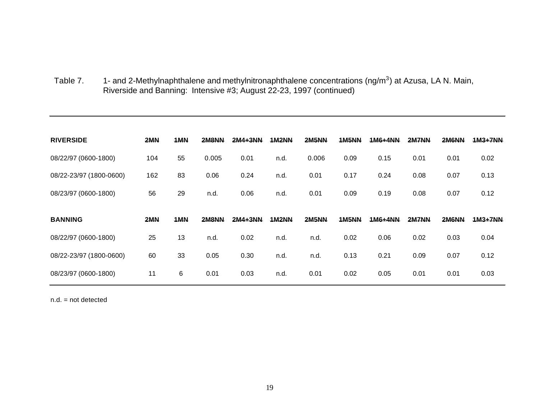Table 7.  $1$ - and 2-Methylnaphthalene and methylnitronaphthalene concentrations (ng/m<sup>3</sup>) at Azusa, LA N. Main, Riverside and Banning: Intensive #3; August 22-23, 1997 (continued)

| <b>RIVERSIDE</b>        | 2MN | 1MN | 2M8NN | 2M4+3NN | <b>1M2NN</b> | 2M5NN | 1M5NN | 1M6+4NN | 2M7NN | 2M6NN | 1M3+7NN |
|-------------------------|-----|-----|-------|---------|--------------|-------|-------|---------|-------|-------|---------|
| 08/22/97 (0600-1800)    | 104 | 55  | 0.005 | 0.01    | n.d.         | 0.006 | 0.09  | 0.15    | 0.01  | 0.01  | 0.02    |
| 08/22-23/97 (1800-0600) | 162 | 83  | 0.06  | 0.24    | n.d.         | 0.01  | 0.17  | 0.24    | 0.08  | 0.07  | 0.13    |
| 08/23/97 (0600-1800)    | 56  | 29  | n.d.  | 0.06    | n.d.         | 0.01  | 0.09  | 0.19    | 0.08  | 0.07  | 0.12    |
|                         |     |     |       |         |              |       |       |         |       |       |         |
|                         |     |     |       |         |              |       |       |         |       |       |         |
| <b>BANNING</b>          | 2MN | 1MN | 2M8NN | 2M4+3NN | <b>1M2NN</b> | 2M5NN | 1M5NN | 1M6+4NN | 2M7NN | 2M6NN | 1M3+7NN |
| 08/22/97 (0600-1800)    | 25  | 13  | n.d.  | 0.02    | n.d.         | n.d.  | 0.02  | 0.06    | 0.02  | 0.03  | 0.04    |
| 08/22-23/97 (1800-0600) | 60  | 33  | 0.05  | 0.30    | n.d.         | n.d.  | 0.13  | 0.21    | 0.09  | 0.07  | 0.12    |

n.d. = not detected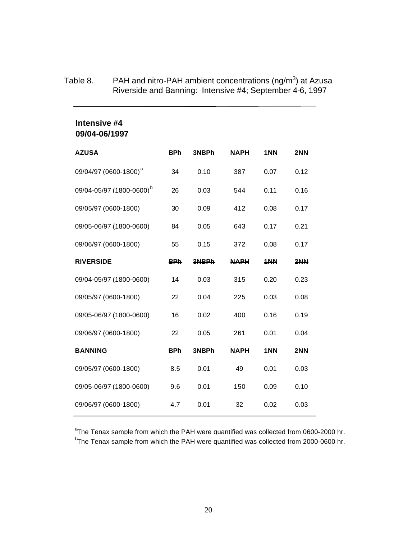### Table 8. PAH and nitro-PAH ambient concentrations (ng/m<sup>3</sup>) at Azusa Riverside and Banning: Intensive #4; September 4-6, 1997

### **Intensive #4 09/04-06/1997**

| <b>AZUSA</b>                         | <b>BPh</b> | 3NBPh | <b>NAPH</b> | 1NN  | 2NN  |
|--------------------------------------|------------|-------|-------------|------|------|
| 09/04/97 (0600-1800) <sup>a</sup>    | 34         | 0.10  | 387         | 0.07 | 0.12 |
| 09/04-05/97 (1800-0600) <sup>b</sup> | 26         | 0.03  | 544         | 0.11 | 0.16 |
| 09/05/97 (0600-1800)                 | 30         | 0.09  | 412         | 0.08 | 0.17 |
| 09/05-06/97 (1800-0600)              | 84         | 0.05  | 643         | 0.17 | 0.21 |
| 09/06/97 (0600-1800)                 | 55         | 0.15  | 372         | 0.08 | 0.17 |
| <b>RIVERSIDE</b>                     | <b>BPh</b> | 3NBPh | <b>NAPH</b> | 1NN  | 2NN  |
| 09/04-05/97 (1800-0600)              | 14         | 0.03  | 315         | 0.20 | 0.23 |
| 09/05/97 (0600-1800)                 | 22         | 0.04  | 225         | 0.03 | 0.08 |
| 09/05-06/97 (1800-0600)              | 16         | 0.02  | 400         | 0.16 | 0.19 |
| 09/06/97 (0600-1800)                 | 22         | 0.05  | 261         | 0.01 | 0.04 |
| <b>BANNING</b>                       | <b>BPh</b> | 3NBPh | <b>NAPH</b> | 1NN  | 2NN  |
| 09/05/97 (0600-1800)                 | 8.5        | 0.01  | 49          | 0.01 | 0.03 |
| 09/05-06/97 (1800-0600)              | 9.6        | 0.01  | 150         | 0.09 | 0.10 |
| 09/06/97 (0600-1800)                 | 4.7        | 0.01  | 32          | 0.02 | 0.03 |

<sup>a</sup>The Tenax sample from which the PAH were quantified was collected from 0600-2000 hr. <sup>b</sup>The Tenax sample from which the PAH were quantified was collected from 2000-0600 hr.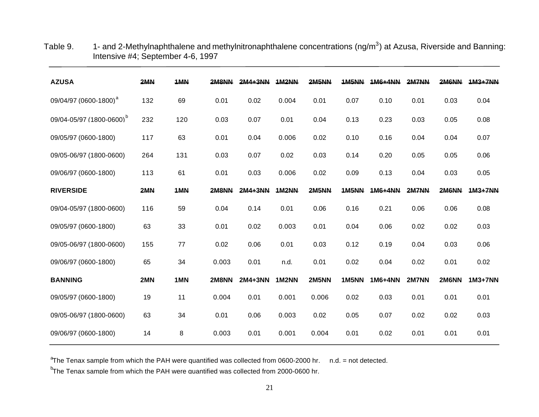| <b>AZUSA</b>                         | 2MN | 1MN | 2M8NN | 2M4+3NN   | 1M2NN        | 2M5NN        | 1M5NN | 1M6+4NN | 2M7NN | 2M6NN | 1M3+7NN   |
|--------------------------------------|-----|-----|-------|-----------|--------------|--------------|-------|---------|-------|-------|-----------|
| 09/04/97 (0600-1800) <sup>a</sup>    | 132 | 69  | 0.01  | 0.02      | 0.004        | 0.01         | 0.07  | 0.10    | 0.01  | 0.03  | 0.04      |
| 09/04-05/97 (1800-0600) <sup>b</sup> | 232 | 120 | 0.03  | 0.07      | 0.01         | 0.04         | 0.13  | 0.23    | 0.03  | 0.05  | 0.08      |
| 09/05/97 (0600-1800)                 | 117 | 63  | 0.01  | 0.04      | 0.006        | 0.02         | 0.10  | 0.16    | 0.04  | 0.04  | 0.07      |
| 09/05-06/97 (1800-0600)              | 264 | 131 | 0.03  | 0.07      | 0.02         | 0.03         | 0.14  | 0.20    | 0.05  | 0.05  | 0.06      |
| 09/06/97 (0600-1800)                 | 113 | 61  | 0.01  | 0.03      | 0.006        | 0.02         | 0.09  | 0.13    | 0.04  | 0.03  | 0.05      |
| <b>RIVERSIDE</b>                     | 2MN | 1MN | 2M8NN | $2MA+3NN$ | <b>1M2NN</b> | 2M5NN        | 1M5NN | 1M6+4NN | 2M7NN | 2M6NN | 1M3+7NN   |
| 09/04-05/97 (1800-0600)              | 116 | 59  | 0.04  | 0.14      | 0.01         | 0.06         | 0.16  | 0.21    | 0.06  | 0.06  | 0.08      |
| 09/05/97 (0600-1800)                 | 63  | 33  | 0.01  | 0.02      | 0.003        | 0.01         | 0.04  | 0.06    | 0.02  | 0.02  | 0.03      |
| 09/05-06/97 (1800-0600)              | 155 | 77  | 0.02  | 0.06      | 0.01         | 0.03         | 0.12  | 0.19    | 0.04  | 0.03  | 0.06      |
| 09/06/97 (0600-1800)                 | 65  | 34  | 0.003 | 0.01      | n.d.         | 0.01         | 0.02  | 0.04    | 0.02  | 0.01  | 0.02      |
| <b>BANNING</b>                       | 2MN | 1MN | 2M8NN | 2M4+3NN   | 1M2NN        | <b>2M5NN</b> | 1M5NN | 1M6+4NN | 2M7NN | 2M6NN | $1M3+7NN$ |
| 09/05/97 (0600-1800)                 | 19  | 11  | 0.004 | 0.01      | 0.001        | 0.006        | 0.02  | 0.03    | 0.01  | 0.01  | 0.01      |
| 09/05-06/97 (1800-0600)              | 63  | 34  | 0.01  | 0.06      | 0.003        | 0.02         | 0.05  | 0.07    | 0.02  | 0.02  | 0.03      |
| 09/06/97 (0600-1800)                 | 14  | 8   | 0.003 | 0.01      | 0.001        | 0.004        | 0.01  | 0.02    | 0.01  | 0.01  | 0.01      |

Table 9.  $1$ - and 2-Methylnaphthalene and methylnitronaphthalene concentrations (ng/m<sup>3</sup>) at Azusa, Riverside and Banning: Intensive #4; September 4-6, 1997

 ${}^{a}$ The Tenax sample from which the PAH were quantified was collected from 0600-2000 hr. n.d. = not detected.

b The Tenax sample from which the PAH were quantified was collected from 2000-0600 hr.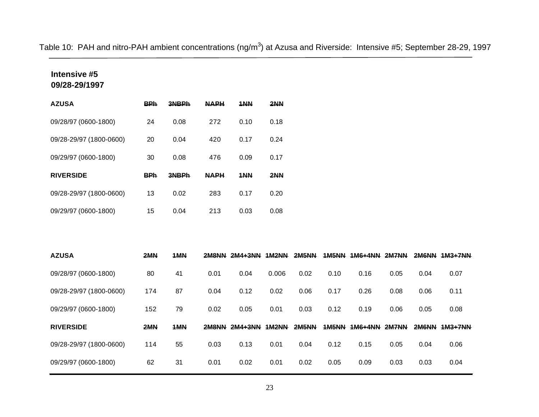Table 10: PAH and nitro-PAH ambient concentrations (ng/m<sup>3</sup>) at Azusa and Riverside: Intensive #5; September 28-29, 1997

# **Intensive #5 09/28-29/1997**

| <b>AZUSA</b>            | <b>BPh</b> | 3NBPh | <b>NAPH</b> | 1NN  | 2NN  |
|-------------------------|------------|-------|-------------|------|------|
| 09/28/97 (0600-1800)    | 24         | 0.08  | 272         | 0.10 | 0.18 |
| 09/28-29/97 (1800-0600) | 20         | 0.04  | 420         | 0.17 | 0.24 |
| 09/29/97 (0600-1800)    | 30         | 0.08  | 476         | 0.09 | 0.17 |
| <b>RIVERSIDE</b>        | <b>BPh</b> | 3NBPh | <b>NAPH</b> | 1NN  | 2NN  |
| 09/28-29/97 (1800-0600) | 13         | 0.02  | 283         | 0.17 | 0.20 |
| 09/29/97 (0600-1800)    | 15         | 0.04  | 213         | 0.03 | 0.08 |

| <b>AZUSA</b>            | 2MN | 1MN | 2M8NN | $2MA+3NN$ | <b>1M2NN</b> | <b>2M5NN</b> | <b>1M5NN</b> | 1M6+4NN | 2M7NN        | 2M6NN | $1M3+7NN$ |
|-------------------------|-----|-----|-------|-----------|--------------|--------------|--------------|---------|--------------|-------|-----------|
| 09/28/97 (0600-1800)    | 80  | 41  | 0.01  | 0.04      | 0.006        | 0.02         | 0.10         | 0.16    | 0.05         | 0.04  | 0.07      |
| 09/28-29/97 (1800-0600) | 174 | 87  | 0.04  | 0.12      | 0.02         | 0.06         | 0.17         | 0.26    | 0.08         | 0.06  | 0.11      |
| 09/29/97 (0600-1800)    | 152 | 79  | 0.02  | 0.05      | 0.01         | 0.03         | 0.12         | 0.19    | 0.06         | 0.05  | 0.08      |
| <b>RIVERSIDE</b>        | 2MM | 1MN | 2M8NN | $2MA+3NN$ | <b>1M2NN</b> | <b>2M5NN</b> | <b>1M5NN</b> | 1M6+4NN | <b>2M7NN</b> | 2M6NN | $1M3+7NN$ |
| 09/28-29/97 (1800-0600) | 114 | 55  | 0.03  | 0.13      | 0.01         | 0.04         | 0.12         | 0.15    | 0.05         | 0.04  | 0.06      |
| 09/29/97 (0600-1800)    | 62  | 31  | 0.01  | 0.02      | 0.01         | 0.02         | 0.05         | 0.09    | 0.03         | 0.03  | 0.04      |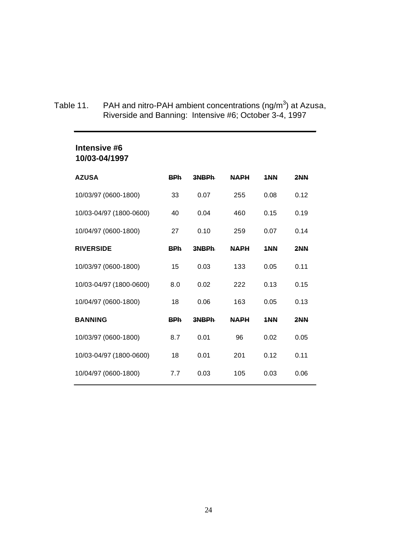Table 11. PAH and nitro-PAH ambient concentrations (ng/m<sup>3</sup>) at Azusa, Riverside and Banning: Intensive #6; October 3-4, 1997

| Intensive #6<br>10/03-04/1997 |            |       |             |      |      |
|-------------------------------|------------|-------|-------------|------|------|
| <b>AZUSA</b>                  | <b>BPh</b> | 3NBPh | <b>NAPH</b> | 1NN  | 2NN  |
| 10/03/97 (0600-1800)          | 33         | 0.07  | 255         | 0.08 | 0.12 |
| 10/03-04/97 (1800-0600)       | 40         | 0.04  | 460         | 0.15 | 0.19 |
| 10/04/97 (0600-1800)          | 27         | 0.10  | 259         | 0.07 | 0.14 |
| <b>RIVERSIDE</b>              | <b>BPh</b> | 3NBPh | <b>NAPH</b> | 1NN  | 2NN  |
| 10/03/97 (0600-1800)          | 15         | 0.03  | 133         | 0.05 | 0.11 |
| 10/03-04/97 (1800-0600)       | 8.0        | 0.02  | 222         | 0.13 | 0.15 |
| 10/04/97 (0600-1800)          | 18         | 0.06  | 163         | 0.05 | 0.13 |
| <b>BANNING</b>                | <b>BPh</b> | 3NBPh | <b>NAPH</b> | 1NN  | 2NN  |
| 10/03/97 (0600-1800)          | 8.7        | 0.01  | 96          | 0.02 | 0.05 |
| 10/03-04/97 (1800-0600)       | 18         | 0.01  | 201         | 0.12 | 0.11 |
| 10/04/97 (0600-1800)          | 7.7        | 0.03  | 105         | 0.03 | 0.06 |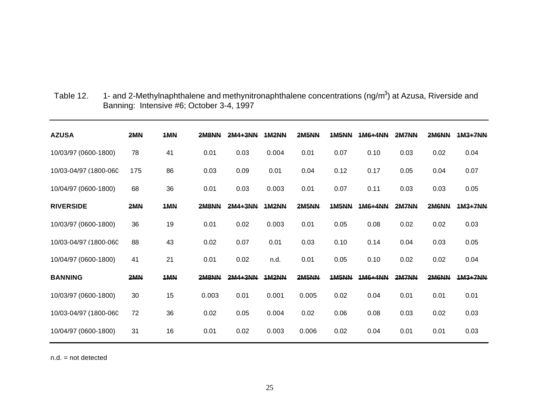| <b>AZUSA</b>          | 2MN | 1MN | 2M8NN | $2MA+3NN$ | <b>1M2NN</b> | 2M5NN        | <b>1M5NN</b> | 1M6+4NN   | 2M7NN | 2M6NN | $1M3+7NN$ |
|-----------------------|-----|-----|-------|-----------|--------------|--------------|--------------|-----------|-------|-------|-----------|
| 10/03/97 (0600-1800)  | 78  | 41  | 0.01  | 0.03      | 0.004        | 0.01         | 0.07         | 0.10      | 0.03  | 0.02  | 0.04      |
| 10/03-04/97 (1800-060 | 175 | 86  | 0.03  | 0.09      | 0.01         | 0.04         | 0.12         | 0.17      | 0.05  | 0.04  | 0.07      |
| 10/04/97 (0600-1800)  | 68  | 36  | 0.01  | 0.03      | 0.003        | 0.01         | 0.07         | 0.11      | 0.03  | 0.03  | 0.05      |
| <b>RIVERSIDE</b>      | 2MN | 1MN | 2M8NN | $2MA+3NN$ | <b>1M2NN</b> | <b>2M5NN</b> | 1M5NN        | $1M6+4NN$ | 2M7NN | 2M6NN | 1M3+7NN   |
| 10/03/97 (0600-1800)  | 36  | 19  | 0.01  | 0.02      | 0.003        | 0.01         | 0.05         | 0.08      | 0.02  | 0.02  | 0.03      |
| 10/03-04/97 (1800-060 | 88  | 43  | 0.02  | 0.07      | 0.01         | 0.03         | 0.10         | 0.14      | 0.04  | 0.03  | 0.05      |
| 10/04/97 (0600-1800)  | 41  | 21  | 0.01  | 0.02      | n.d.         | 0.01         | 0.05         | 0.10      | 0.02  | 0.02  | 0.04      |
| <b>BANNING</b>        | 2MN | 1MN | 2M8NN | $2MA+3NN$ | 1M2NN        | <b>2M5NN</b> | 1M5NN        | 1M6+4NN   | 2M7NN | 2M6NN | 1M3+7NN   |
| 10/03/97 (0600-1800)  | 30  | 15  | 0.003 | 0.01      | 0.001        | 0.005        | 0.02         | 0.04      | 0.01  | 0.01  | 0.01      |
| 10/03-04/97 (1800-060 | 72  | 36  | 0.02  | 0.05      | 0.004        | 0.02         | 0.06         | 0.08      | 0.03  | 0.02  | 0.03      |
| 10/04/97 (0600-1800)  | 31  | 16  | 0.01  | 0.02      | 0.003        | 0.006        | 0.02         | 0.04      | 0.01  | 0.01  | 0.03      |

Table 12. 1- and 2-Methylnaphthalene and methynitronaphthalene concentrations (ng/m<sup>3</sup>) at Azusa, Riverside and Banning: Intensive #6; October 3-4, 1997

n.d. = not detected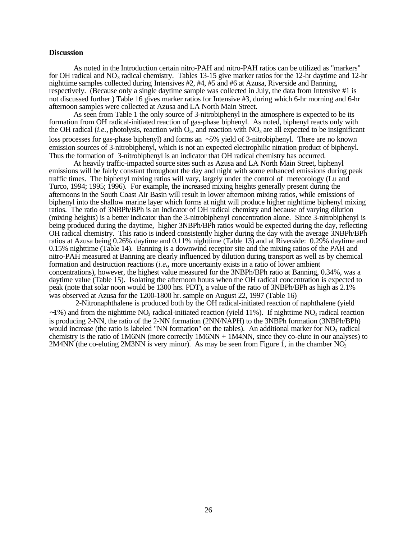### **Discussion**

As noted in the Introduction certain nitro-PAH and nitro-PAH ratios can be utilized as "markers" for OH radical and  $NO_3$  radical chemistry. Tables 13-15 give marker ratios for the 12-hr daytime and 12-hr nighttime samples collected during Intensives #2, #4, #5 and #6 at Azusa, Riverside and Banning, respectively. (Because only a single daytime sample was collected in July, the data from Intensive #1 is not discussed further.) Table 16 gives marker ratios for Intensive #3, during which 6-hr morning and 6-hr afternoon samples were collected at Azusa and LA North Main Street.

As seen from Table 1 the only source of 3-nitrobiphenyl in the atmosphere is expected to be its formation from OH radical-initiated reaction of gas-phase biphenyl. As noted, biphenyl reacts only with the OH radical (*i.e.*, photolysis, reaction with  $O_3$ , and reaction with  $NO_3$  are all expected to be insignificant loss processes for gas-phase biphenyl) and forms an ~5% yield of 3-nitrobiphenyl. There are no known emission sources of 3-nitrobiphenyl, which is not an expected electrophilic nitration product of biphenyl. Thus the formation of 3-nitrobiphenyl is an indicator that OH radical chemistry has occurred.

At heavily traffic-impacted source sites such as Azusa and LA North Main Street, biphenyl emissions will be fairly constant throughout the day and night with some enhanced emissions during peak traffic times. The biphenyl mixing ratios will vary, largely under the control of meteorology (Lu and Turco, 1994; 1995; 1996). For example, the increased mixing heights generally present during the afternoons in the South Coast Air Basin will result in lower afternoon mixing ratios, while emissions of biphenyl into the shallow marine layer which forms at night will produce higher nighttime biphenyl mixing ratios. The ratio of 3NBPh/BPh is an indicator of OH radical chemisty and because of varying dilution (mixing heights) is a better indicator than the 3-nitrobiphenyl concentration alone. Since 3-nitrobiphenyl is being produced during the daytime, higher 3NBPh/BPh ratios would be expected during the day, reflecting OH radical chemistry. This ratio is indeed consistently higher during the day with the average 3NBPh/BPh ratios at Azusa being 0.26% daytime and 0.11% nighttime (Table 13) and at Riverside: 0.29% daytime and 0.15% nighttime (Table 14). Banning is a downwind receptor site and the mixing ratios of the PAH and nitro-PAH measured at Banning are clearly influenced by dilution during transport as well as by chemical formation and destruction reactions (*i.e***.,** more uncertainty exists in a ratio of lower ambient concentrations), however, the highest value measured for the 3NBPh/BPh ratio at Banning, 0.34%, was a daytime value (Table 15). Isolating the afternoon hours when the OH radical concentration is expected to peak (note that solar noon would be 1300 hrs. PDT), a value of the ratio of 3NBPh/BPh as high as 2.1% was observed at Azusa for the 1200-1800 hr. sample on August 22, 1997 (Table 16)

 2-Nitronaphthalene is produced both by the OH radical-initiated reaction of naphthalene (yield  $\sim$ 1%) and from the nighttime NO<sub>3</sub> radical-initiated reaction (yield 11%). If nighttime NO<sub>3</sub> radical reaction is producing 2-NN, the ratio of the 2-NN formation (2NN/NAPH) to the 3NBPh formation (3NBPh/BPh) would increase (the ratio is labeled "NN formation" on the tables). An additional marker for  $NO<sub>3</sub>$  radical chemistry is the ratio of 1M6NN (more correctly 1M6NN + 1M4NN, since they co-elute in our analyses) to 2M4NN (the co-eluting 2M3NN is very minor). As may be seen from Figure 1, in the chamber  $NO<sub>3</sub>$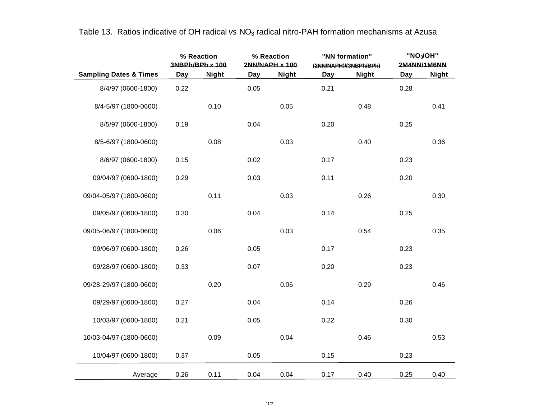|                                   |      | % Reaction<br>3NBPh/BPh x 100 |            | % Reaction<br>2NN/NAPH x 100 |      | "NN formation"<br>(2NN/NAPH)/(3NBPh/BPh) |      | "NO <sub>3</sub> OH"<br>2M4NN/1M6NN |
|-----------------------------------|------|-------------------------------|------------|------------------------------|------|------------------------------------------|------|-------------------------------------|
| <b>Sampling Dates &amp; Times</b> | Day  | <b>Night</b>                  | <b>Day</b> | <b>Night</b>                 | Day  | <b>Night</b>                             | Day  | <b>Night</b>                        |
| 8/4/97 (0600-1800)                | 0.22 |                               | 0.05       |                              | 0.21 |                                          | 0.28 |                                     |
| 8/4-5/97 (1800-0600)              |      | 0.10                          |            | 0.05                         |      | 0.48                                     |      | 0.41                                |
| 8/5/97 (0600-1800)                | 0.19 |                               | 0.04       |                              | 0.20 |                                          | 0.25 |                                     |
| 8/5-6/97 (1800-0600)              |      | 0.08                          |            | 0.03                         |      | 0.40                                     |      | 0.36                                |
| 8/6/97 (0600-1800)                | 0.15 |                               | 0.02       |                              | 0.17 |                                          | 0.23 |                                     |
| 09/04/97 (0600-1800)              | 0.29 |                               | 0.03       |                              | 0.11 |                                          | 0.20 |                                     |
| 09/04-05/97 (1800-0600)           |      | 0.11                          |            | 0.03                         |      | 0.26                                     |      | 0.30                                |
| 09/05/97 (0600-1800)              | 0.30 |                               | 0.04       |                              | 0.14 |                                          | 0.25 |                                     |
| 09/05-06/97 (1800-0600)           |      | 0.06                          |            | 0.03                         |      | 0.54                                     |      | 0.35                                |
| 09/06/97 (0600-1800)              | 0.26 |                               | 0.05       |                              | 0.17 |                                          | 0.23 |                                     |
| 09/28/97 (0600-1800)              | 0.33 |                               | 0.07       |                              | 0.20 |                                          | 0.23 |                                     |
| 09/28-29/97 (1800-0600)           |      | 0.20                          |            | 0.06                         |      | 0.29                                     |      | 0.46                                |
| 09/29/97 (0600-1800)              | 0.27 |                               | 0.04       |                              | 0.14 |                                          | 0.26 |                                     |
| 10/03/97 (0600-1800)              | 0.21 |                               | 0.05       |                              | 0.22 |                                          | 0.30 |                                     |
| 10/03-04/97 (1800-0600)           |      | 0.09                          |            | 0.04                         |      | 0.46                                     |      | 0.53                                |
| 10/04/97 (0600-1800)              | 0.37 |                               | 0.05       |                              | 0.15 |                                          | 0.23 |                                     |
| Average                           | 0.26 | 0.11                          | 0.04       | 0.04                         | 0.17 | 0.40                                     | 0.25 | 0.40                                |

Table 13. Ratios indicative of OH radical *vs* NO<sub>3</sub> radical nitro-PAH formation mechanisms at Azusa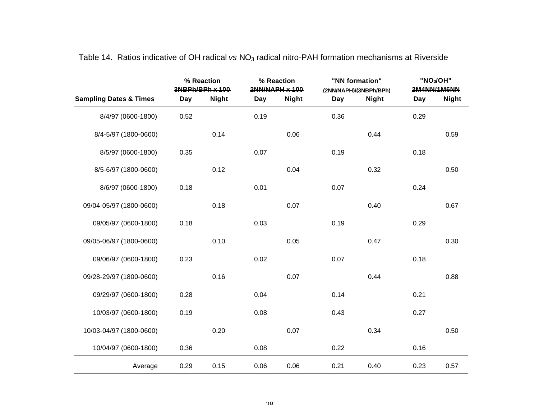|                                   |      | % Reaction<br>3NBPh/BPh x 100 |      | % Reaction<br>2NN/NAPH x 100 |      | "NN formation"<br>(2NN/NAPH)/(3NBPh/BPh) |      | "NO <sub>3</sub> OH"<br>2M4NN/1M6NN |
|-----------------------------------|------|-------------------------------|------|------------------------------|------|------------------------------------------|------|-------------------------------------|
| <b>Sampling Dates &amp; Times</b> | Day  | <b>Night</b>                  | Day  | <b>Night</b>                 | Day  | <b>Night</b>                             | Day  | <b>Night</b>                        |
| 8/4/97 (0600-1800)                | 0.52 |                               | 0.19 |                              | 0.36 |                                          | 0.29 |                                     |
| 8/4-5/97 (1800-0600)              |      | 0.14                          |      | 0.06                         |      | 0.44                                     |      | 0.59                                |
| 8/5/97 (0600-1800)                | 0.35 |                               | 0.07 |                              | 0.19 |                                          | 0.18 |                                     |
| 8/5-6/97 (1800-0600)              |      | 0.12                          |      | 0.04                         |      | 0.32                                     |      | 0.50                                |
| 8/6/97 (0600-1800)                | 0.18 |                               | 0.01 |                              | 0.07 |                                          | 0.24 |                                     |
| 09/04-05/97 (1800-0600)           |      | 0.18                          |      | 0.07                         |      | 0.40                                     |      | 0.67                                |
| 09/05/97 (0600-1800)              | 0.18 |                               | 0.03 |                              | 0.19 |                                          | 0.29 |                                     |
| 09/05-06/97 (1800-0600)           |      | 0.10                          |      | 0.05                         |      | 0.47                                     |      | 0.30                                |
| 09/06/97 (0600-1800)              | 0.23 |                               | 0.02 |                              | 0.07 |                                          | 0.18 |                                     |
| 09/28-29/97 (1800-0600)           |      | 0.16                          |      | 0.07                         |      | 0.44                                     |      | 0.88                                |
| 09/29/97 (0600-1800)              | 0.28 |                               | 0.04 |                              | 0.14 |                                          | 0.21 |                                     |
| 10/03/97 (0600-1800)              | 0.19 |                               | 0.08 |                              | 0.43 |                                          | 0.27 |                                     |
| 10/03-04/97 (1800-0600)           |      | 0.20                          |      | 0.07                         |      | 0.34                                     |      | 0.50                                |
| 10/04/97 (0600-1800)              | 0.36 |                               | 0.08 |                              | 0.22 |                                          | 0.16 |                                     |
| Average                           | 0.29 | 0.15                          | 0.06 | 0.06                         | 0.21 | 0.40                                     | 0.23 | 0.57                                |

# Table 14. Ratios indicative of OH radical *vs* NO3 radical nitro-PAH formation mechanisms at Riverside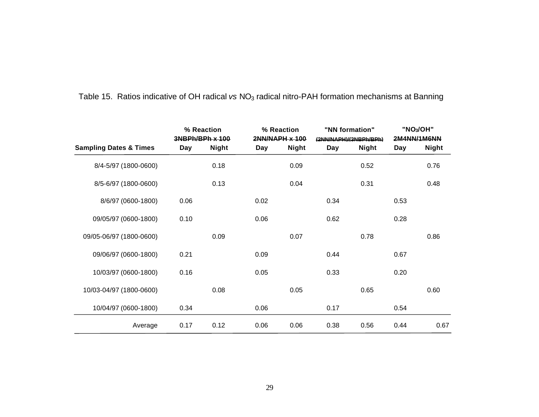|                                   |      | % Reaction<br>3NBPh/BPh x 100 |      | % Reaction<br>2NN/NAPH x 100 |      | "NN formation"<br>(2NN/NAPH)/(3NBPh/BPh) |      | "NO <sub>3</sub> /OH"<br>2M4NN/1M6NN |
|-----------------------------------|------|-------------------------------|------|------------------------------|------|------------------------------------------|------|--------------------------------------|
| <b>Sampling Dates &amp; Times</b> | Day  | <b>Night</b>                  | Day  | <b>Night</b>                 | Day  | <b>Night</b>                             | Day  | <b>Night</b>                         |
| 8/4-5/97 (1800-0600)              |      | 0.18                          |      | 0.09                         |      | 0.52                                     |      | 0.76                                 |
| 8/5-6/97 (1800-0600)              |      | 0.13                          |      | 0.04                         |      | 0.31                                     |      | 0.48                                 |
| 8/6/97 (0600-1800)                | 0.06 |                               | 0.02 |                              | 0.34 |                                          | 0.53 |                                      |
| 09/05/97 (0600-1800)              | 0.10 |                               | 0.06 |                              | 0.62 |                                          | 0.28 |                                      |
| 09/05-06/97 (1800-0600)           |      | 0.09                          |      | 0.07                         |      | 0.78                                     |      | 0.86                                 |
| 09/06/97 (0600-1800)              | 0.21 |                               | 0.09 |                              | 0.44 |                                          | 0.67 |                                      |
| 10/03/97 (0600-1800)              | 0.16 |                               | 0.05 |                              | 0.33 |                                          | 0.20 |                                      |
| 10/03-04/97 (1800-0600)           |      | 0.08                          |      | 0.05                         |      | 0.65                                     |      | 0.60                                 |
| 10/04/97 (0600-1800)              | 0.34 |                               | 0.06 |                              | 0.17 |                                          | 0.54 |                                      |
| Average                           | 0.17 | 0.12                          | 0.06 | 0.06                         | 0.38 | 0.56                                     | 0.44 | 0.67                                 |

# Table 15. Ratios indicative of OH radical *vs* NO<sub>3</sub> radical nitro-PAH formation mechanisms at Banning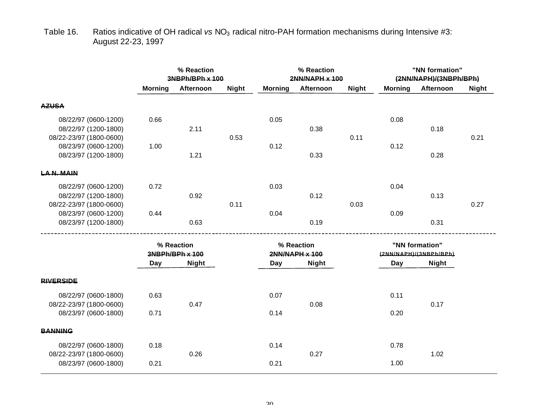# Table 16. Ratios indicative of OH radical *vs* NO<sub>3</sub> radical nitro-PAH formation mechanisms during Intensive #3: August 22-23, 1997

|                                                                         | % Reaction<br>3NBPh/BPh x 100 |                               |              |                              | % Reaction<br>2NN/NAPH x 100 |              |                                          | "NN formation"<br>(2NN/NAPH)/(3NBPh/BPh) |              |
|-------------------------------------------------------------------------|-------------------------------|-------------------------------|--------------|------------------------------|------------------------------|--------------|------------------------------------------|------------------------------------------|--------------|
|                                                                         | <b>Morning</b>                | Afternoon                     | <b>Night</b> | <b>Morning</b>               | Afternoon                    | <b>Night</b> | <b>Morning</b>                           | Afternoon                                | <b>Night</b> |
| <b>AZUSA</b>                                                            |                               |                               |              |                              |                              |              |                                          |                                          |              |
| 08/22/97 (0600-1200)<br>08/22/97 (1200-1800)<br>08/22-23/97 (1800-0600) | 0.66                          | 2.11                          | 0.53         | 0.05                         | 0.38                         | 0.11         | 0.08                                     | 0.18                                     | 0.21         |
| 08/23/97 (0600-1200)<br>08/23/97 (1200-1800)                            | 1.00                          | 1.21                          |              | 0.12                         | 0.33                         |              | 0.12                                     | 0.28                                     |              |
| LAN. MAIN                                                               |                               |                               |              |                              |                              |              |                                          |                                          |              |
| 08/22/97 (0600-1200)<br>08/22/97 (1200-1800)<br>08/22-23/97 (1800-0600) | 0.72                          | 0.92                          | 0.11         | 0.03                         | 0.12                         | 0.03         | 0.04                                     | 0.13                                     | 0.27         |
| 08/23/97 (0600-1200)<br>08/23/97 (1200-1800)                            | 0.44                          | 0.63                          |              | 0.04                         | 0.19                         |              | 0.09                                     | 0.31                                     |              |
|                                                                         |                               | % Reaction<br>3NBPh/BPh x 100 |              | % Reaction<br>2NN/NAPH x 100 |                              |              | "NN formation"<br>(2NN/NAPH)/(3NBPh/BPh) |                                          |              |
|                                                                         | Day                           | <b>Night</b>                  |              | Day                          | <b>Night</b>                 |              | Day                                      | <b>Night</b>                             |              |
| <b>RIVERSIDE</b>                                                        |                               |                               |              |                              |                              |              |                                          |                                          |              |
| 08/22/97 (0600-1800)<br>08/22-23/97 (1800-0600)                         | 0.63                          | 0.47                          |              | 0.07                         | 0.08                         |              | 0.11                                     | 0.17                                     |              |
| 08/23/97 (0600-1800)                                                    | 0.71                          |                               |              | 0.14                         |                              |              | 0.20                                     |                                          |              |
| <b>BANNING</b>                                                          |                               |                               |              |                              |                              |              |                                          |                                          |              |
| 08/22/97 (0600-1800)<br>08/22-23/97 (1800-0600)                         | 0.18                          | 0.26                          |              | 0.14                         | 0.27                         |              | 0.78                                     | 1.02                                     |              |
| 08/23/97 (0600-1800)                                                    | 0.21                          |                               |              | 0.21                         |                              |              | 1.00                                     |                                          |              |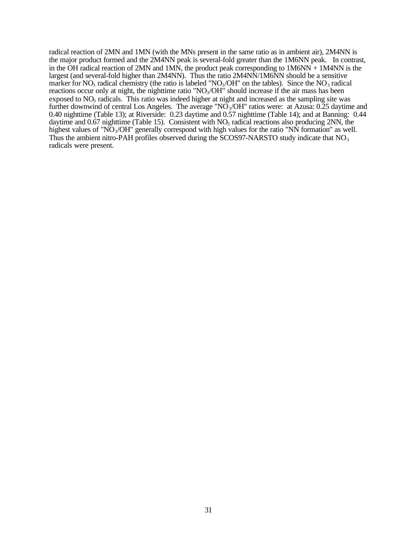radical reaction of 2MN and 1MN (with the MNs present in the same ratio as in ambient air), 2M4NN is the major product formed and the 2M4NN peak is several-fold greater than the 1M6NN peak. In contrast, in the OH radical reaction of 2MN and 1MN, the product peak corresponding to  $1M6NN + 1M4NN$  is the largest (and several-fold higher than 2M4NN). Thus the ratio 2M4NN/1M6NN should be a sensitive marker for  $NO_3$  radical chemistry (the ratio is labeled " $NO_3/OH$ " on the tables). Since the  $NO_3$  radical reactions occur only at night, the nighttime ratio " $NO<sub>3</sub>/OH$ " should increase if the air mass has been exposed to  $NO<sub>3</sub>$  radicals. This ratio was indeed higher at night and increased as the sampling site was further downwind of central Los Angeles. The average " $N\tilde{O}_3/OH$ " ratios were: at Azusa: 0.25 daytime and 0.40 nighttime (Table 13); at Riverside: 0.23 daytime and 0.57 nighttime (Table 14); and at Banning: 0.44 daytime and  $0.67$  nighttime (Table 15). Consistent with  $NO<sub>3</sub>$  radical reactions also producing  $2NN$ , the highest values of "NO<sub>3</sub>/OH" generally correspond with high values for the ratio "NN formation" as well. Thus the ambient nitro-PAH profiles observed during the SCOS97-NARSTO study indicate that  $NO<sub>3</sub>$ radicals were present.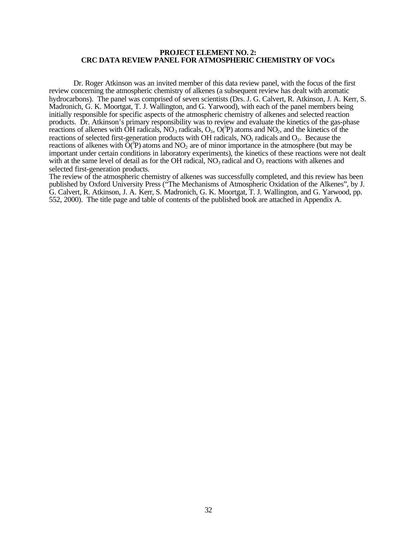### **PROJECT ELEMENT NO. 2: CRC DATA REVIEW PANEL FOR ATMOSPHERIC CHEMISTRY OF VOCs**

Dr. Roger Atkinson was an invited member of this data review panel, with the focus of the first review concerning the atmospheric chemistry of alkenes (a subsequent review has dealt with aromatic hydrocarbons). The panel was comprised of seven scientists (Drs. J. G. Calvert, R. Atkinson, J. A. Kerr, S. Madronich, G. K. Moortgat, T. J. Wallington, and G. Yarwood), with each of the panel members being initially responsible for specific aspects of the atmospheric chemistry of alkenes and selected reaction products. Dr. Atkinson's primary responsibility was to review and evaluate the kinetics of the gas-phase reactions of alkenes with OH radicals,  $NO_3$  radicals,  $O_3$ ,  $O(^3P)$  atoms and  $NO_2$ , and the kinetics of the reactions of selected first-generation products with OH radicals,  $NO_3$  radicals and  $O_3$ . Because the reactions of alkenes with  $\tilde{O}^{(3)}P$ ) atoms and NO<sub>2</sub> are of minor importance in the atmosphere (but may be important under certain conditions in laboratory experiments), the kinetics of these reactions were not dealt with at the same level of detail as for the OH radical,  $NO<sub>3</sub>$  radical and  $O<sub>3</sub>$  reactions with alkenes and selected first-generation products.

The review of the atmospheric chemistry of alkenes was successfully completed, and this review has been published by Oxford University Press ("The Mechanisms of Atmospheric Oxidation of the Alkenes", by J. G. Calvert, R. Atkinson, J. A. Kerr, S. Madronich, G. K. Moortgat, T. J. Wallington, and G. Yarwood, pp. 552, 2000). The title page and table of contents of the published book are attached in Appendix A.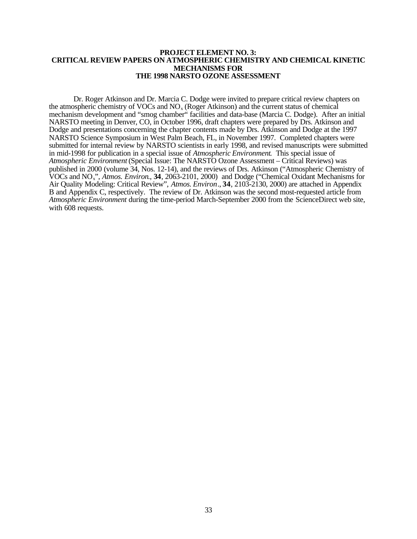### **PROJECT ELEMENT NO. 3: CRITICAL REVIEW PAPERS ON ATMOSPHERIC CHEMISTRY AND CHEMICAL KINETIC MECHANISMS FOR THE 1998 NARSTO OZONE ASSESSMENT**

Dr. Roger Atkinson and Dr. Marcia C. Dodge were invited to prepare critical review chapters on the atmospheric chemistry of VOCs and  $NO<sub>x</sub>$  (Roger Atkinson) and the current status of chemical mechanism development and "smog chamber" facilities and data-base (Marcia C. Dodge). After an initial NARSTO meeting in Denver, CO, in October 1996, draft chapters were prepared by Drs. Atkinson and Dodge and presentations concerning the chapter contents made by Drs. Atkinson and Dodge at the 1997 NARSTO Science Symposium in West Palm Beach, FL, in November 1997. Completed chapters were submitted for internal review by NARSTO scientists in early 1998, and revised manuscripts were submitted in mid-1998 for publication in a special issue of *Atmospheric Environment*. This special issue of *Atmospheric Environment* (Special Issue: The NARSTO Ozone Assessment – Critical Reviews) was published in 2000 (volume 34, Nos. 12-14), and the reviews of Drs. Atkinson ("Atmospheric Chemistry of VOCs and NOx", *Atmos. Environ*., **34**, 2063-2101, 2000) and Dodge ("Chemical Oxidant Mechanisms for Air Quality Modeling: Critical Review", *Atmos. Environ*., **34**, 2103-2130, 2000) are attached in Appendix B and Appendix C, respectively. The review of Dr. Atkinson was the second most-requested article from *Atmospheric Environment* during the time-period March-September 2000 from the ScienceDirect web site, with 608 requests.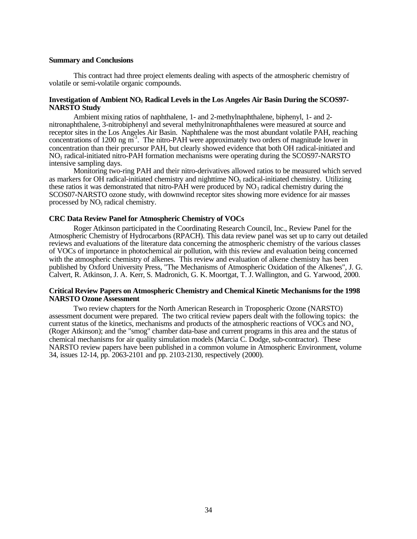### **Summary and Conclusions**

This contract had three project elements dealing with aspects of the atmospheric chemistry of volatile or semi-volatile organic compounds.

### **Investigation of Ambient NO3 Radical Levels in the Los Angeles Air Basin During the SCOS97- NARSTO Study**

Ambient mixing ratios of naphthalene, 1- and 2-methylnaphthalene, biphenyl, 1- and 2- nitronaphthalene, 3-nitrobiphenyl and several methylnitronaphthalenes were measured at source and receptor sites in the Los Angeles Air Basin. Naphthalene was the most abundant volatile PAH, reaching concentrations of 1200 ng m<sup>-3</sup>. The nitro-PAH were approximately two orders of magnitude lower in concentration than their precursor PAH, but clearly showed evidence that both OH radical-initiated and NO3 radical-initiated nitro-PAH formation mechanisms were operating during the SCOS97-NARSTO intensive sampling days.

Monitoring two-ring PAH and their nitro-derivatives allowed ratios to be measured which served as markers for OH radical-initiated chemistry and nighttime NO<sub>3</sub> radical-initiated chemistry. Utilizing these ratios it was demonstrated that nitro-PAH were produced by  $NO_3$  radical chemistry during the SCOS07-NARSTO ozone study, with downwind receptor sites showing more evidence for air masses processed by NO<sub>3</sub> radical chemistry.

### **CRC Data Review Panel for Atmospheric Chemistry of VOCs**

Roger Atkinson participated in the Coordinating Research Council, Inc., Review Panel for the Atmospheric Chemistry of Hydrocarbons (RPACH). This data review panel was set up to carry out detailed reviews and evaluations of the literature data concerning the atmospheric chemistry of the various classes of VOCs of importance in photochemical air pollution, with this review and evaluation being concerned with the atmospheric chemistry of alkenes. This review and evaluation of alkene chemistry has been published by Oxford University Press, "The Mechanisms of Atmospheric Oxidation of the Alkenes", J. G. Calvert, R. Atkinson, J. A. Kerr, S. Madronich, G. K. Moortgat, T. J. Wallington, and G. Yarwood, 2000.

### **Critical Review Papers on Atmospheric Chemistry and Chemical Kinetic Mechanisms for the 1998 NARSTO Ozone Assessment**

Two review chapters for the North American Research in Tropospheric Ozone (NARSTO) assessment document were prepared. The two critical review papers dealt with the following topics: the current status of the kinetics, mechanisms and products of the atmospheric reactions of VOCs and NO<sub>x</sub> (Roger Atkinson); and the "smog" chamber data-base and current programs in this area and the status of chemical mechanisms for air quality simulation models (Marcia C. Dodge, sub-contractor). These NARSTO review papers have been published in a common volume in Atmospheric Environment, volume 34, issues 12-14, pp. 2063-2101 and pp. 2103-2130, respectively (2000).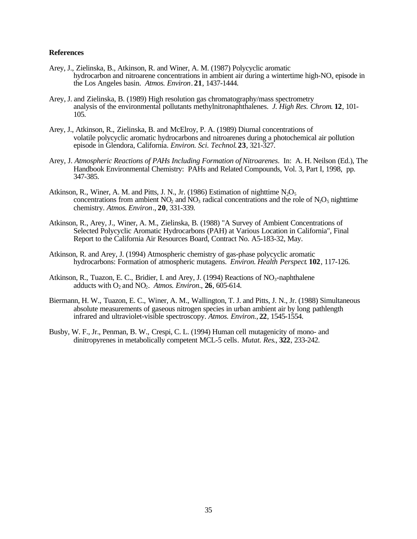### **References**

- Arey, J., Zielinska, B., Atkinson, R. and Winer, A. M. (1987) Polycyclic aromatic hydrocarbon and nitroarene concentrations in ambient air during a wintertime high- $NO<sub>x</sub>$  episode in the Los Angeles basin. *Atmos. Environ*. **21**, 1437-1444.
- Arey, J. and Zielinska, B. (1989) High resolution gas chromatography/mass spectrometry analysis of the environmental pollutants methylnitronaphthalenes. *J. High Res. Chrom*. **12**, 101- 105.
- Arey, J., Atkinson, R., Zielinska, B. and McElroy, P. A. (1989) Diurnal concentrations of volatile polycyclic aromatic hydrocarbons and nitroarenes during a photochemical air pollution episode in Glendora, California. *Environ. Sci. Technol*. **23**, 321-327.
- Arey, J. *Atmospheric Reactions of PAHs Including Formation of Nitroarenes*. In: A. H. Neilson (Ed.), The Handbook Environmental Chemistry: PAHs and Related Compounds, Vol. 3, Part I, 1998, pp. 347-385.
- Atkinson, R., Winer, A. M. and Pitts, J. N., Jr. (1986) Estimation of nighttime  $N_2O_5$ concentrations from ambient  $NO_2$  and  $NO_3$  radical concentrations and the role of  $N_2O_5$  nighttime chemistry. *Atmos. Environ*., **20**, 331-339.
- Atkinson, R., Arey, J., Winer, A. M., Zielinska, B. (1988) "A Survey of Ambient Concentrations of Selected Polycyclic Aromatic Hydrocarbons (PAH) at Various Location in California", Final Report to the California Air Resources Board, Contract No. A5-183-32, May.
- Atkinson, R. and Arey, J. (1994) Atmospheric chemistry of gas-phase polycyclic aromatic hydrocarbons: Formation of atmospheric mutagens. *Environ. Health Perspect*. **102**, 117-126.
- Atkinson, R., Tuazon, E. C., Bridier, I. and Arey, J. (1994) Reactions of  $NO<sub>3</sub>$ -naphthalene adducts with  $O_2$  and  $NO_2$ . *Atmos. Environ.*, **26**, 605-614.
- Biermann, H. W., Tuazon, E. C., Winer, A. M., Wallington, T. J. and Pitts, J. N., Jr. (1988) Simultaneous absolute measurements of gaseous nitrogen species in urban ambient air by long pathlength infrared and ultraviolet-visible spectroscopy. *Atmos. Environ.*, **22**, 1545-1554.
- Busby, W. F., Jr., Penman, B. W., Crespi, C. L. (1994) Human cell mutagenicity of mono- and dinitropyrenes in metabolically competent MCL-5 cells*. Mutat. Res*., **322**, 233-242.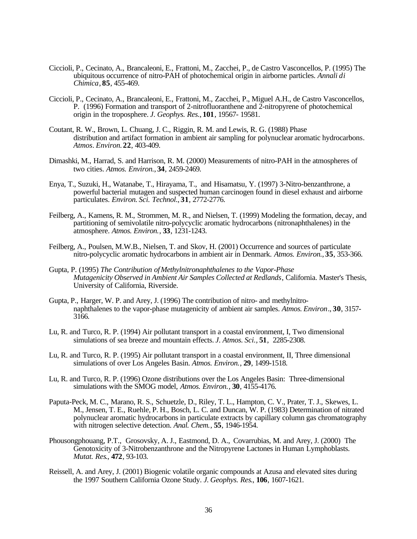- Ciccioli, P., Cecinato, A., Brancaleoni, E., Frattoni, M., Zacchei, P., de Castro Vasconcellos, P. (1995) The ubiquitous occurrence of nitro-PAH of photochemical origin in airborne particles. *Annali di Chimica*, **85**, 455-469.
- Ciccioli, P., Cecinato, A., Brancaleoni, E., Frattoni, M., Zacchei, P., Miguel A.H., de Castro Vasconcellos, P. (1996) Formation and transport of 2-nitrofluoranthene and 2-nitropyrene of photochemical origin in the troposphere. *J. Geophys. Res.*, **101**, 19567- 19581.
- Coutant, R. W., Brown, L. Chuang, J. C., Riggin, R. M. and Lewis, R. G. (1988) Phase distribution and artifact formation in ambient air sampling for polynuclear aromatic hydrocarbons*. Atmos*. *Environ.* **22**, 403-409.
- Dimashki, M., Harrad, S. and Harrison, R. M. (2000) Measurements of nitro-PAH in the atmospheres of two cities. *Atmos. Environ.*, **34**, 2459-2469.
- Enya, T., Suzuki, H., Watanabe, T., Hirayama, T., and Hisamatsu, Y. (1997) 3-Nitro-benzanthrone, a powerful bacterial mutagen and suspected human carcinogen found in diesel exhaust and airborne particulates. *Environ. Sci. Technol.*, **31**, 2772-2776.
- Feilberg, A., Kamens, R. M., Strommen, M. R., and Nielsen, T. (1999) Modeling the formation, decay, and partitioning of semivolatile nitro-polycyclic aromatic hydrocarbons (nitronaphthalenes) in the atmosphere. *Atmos. Environ.*, **33**, 1231-1243.
- Feilberg, A., Poulsen, M.W.B., Nielsen, T. and Skov, H. (2001) Occurrence and sources of particulate nitro-polycyclic aromatic hydrocarbons in ambient air in Denmark. *Atmos. Environ.*, **35**, 353-366.
- Gupta, P. (1995) *The Contribution of Methylnitronaphthalenes to the Vapor-Phase Mutagenicity Observed in Ambient Air Samples Collected at Redlands*, California. Master's Thesis, University of California, Riverside.
- Gupta, P., Harger, W. P. and Arey, J. (1996) The contribution of nitro- and methylnitronaphthalenes to the vapor-phase mutagenicity of ambient air samples. *Atmos. Environ*., **30**, 3157- 3166.
- Lu, R. and Turco, R. P. (1994) Air pollutant transport in a coastal environment, I, Two dimensional simulations of sea breeze and mountain effects. *J. Atmos. Sci.,* **51**, 2285-2308.
- Lu, R. and Turco, R. P. (1995) Air pollutant transport in a coastal environment, II, Three dimensional simulations of over Los Angeles Basin. *Atmos. Environ.*, **29**, 1499-1518.
- Lu, R. and Turco, R. P. (1996) Ozone distributions over the Los Angeles Basin: Three-dimensional simulations with the SMOG model, *Atmos. Environ.*, **30**, 4155-4176.
- Paputa-Peck, M. C., Marano, R. S., Schuetzle, D., Riley, T. L., Hampton, C. V., Prater, T. J., Skewes, L. M., Jensen, T. E., Ruehle, P. H., Bosch, L. C. and Duncan, W. P. (1983) Determination of nitrated polynuclear aromatic hydrocarbons in particulate extracts by capillary column gas chromatography with nitrogen selective detection. *Anal. Chem.*, **55**, 1946-1954.
- Phousongphouang, P.T., Grosovsky, A. J., Eastmond, D. A., Covarrubias, M. and Arey, J. (2000) The Genotoxicity of 3-Nitrobenzanthrone and the Nitropyrene Lactones in Human Lymphoblasts. *Mutat. Res*., **472**, 93-103.
- Reissell, A. and Arey, J. (2001) Biogenic volatile organic compounds at Azusa and elevated sites during the 1997 Southern California Ozone Study. *J. Geophys. Res*., **106**, 1607-1621.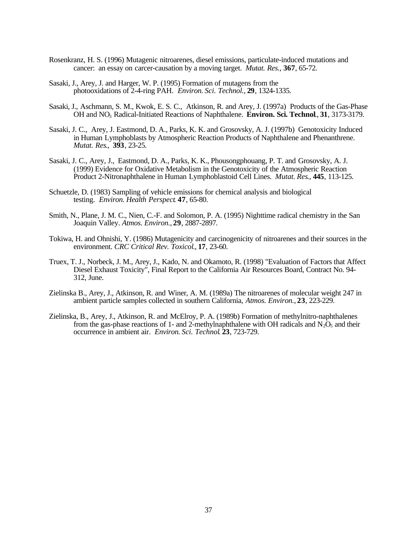- Rosenkranz, H. S. (1996) Mutagenic nitroarenes, diesel emissions, particulate-induced mutations and cancer: an essay on carcer-causation by a moving target. *Mutat. Res.,* **367**, 65-72.
- Sasaki, J., Arey, J. and Harger, W. P. (1995) Formation of mutagens from the photooxidations of 2-4-ring PAH. *Environ. Sci. Technol.,* **29**, 1324-1335.
- Sasaki, J., Aschmann, S. M., Kwok, E. S. C., Atkinson, R. and Arey, J. (1997a) Products of the Gas-Phase OH and NO3 Radical-Initiated Reactions of Naphthalene. **Environ. Sci. Technol**., **31**, 3173-3179.
- Sasaki, J. C., Arey, J. Eastmond, D. A., Parks, K. K. and Grosovsky, A. J. (1997b) Genotoxicity Induced in Human Lymphoblasts by Atmospheric Reaction Products of Naphthalene and Phenanthrene. *Mutat. Res*., **393**, 23-25.
- Sasaki, J. C., Arey, J., Eastmond, D. A., Parks, K. K., Phousongphouang, P. T. and Grosovsky, A. J. (1999) Evidence for Oxidative Metabolism in the Genotoxicity of the Atmospheric Reaction Product 2-Nitronaphthalene in Human Lymphoblastoid Cell Lines. *Mutat. Res*., **445**, 113-125.
- Schuetzle, D. (1983) Sampling of vehicle emissions for chemical analysis and biological testing. *Environ. Health Perspect*. **47**, 65-80.
- Smith, N., Plane, J. M. C., Nien, C.-F. and Solomon, P. A. (1995) Nighttime radical chemistry in the San Joaquin Valley. *Atmos. Environ.*, **29**, 2887-2897.
- Tokiwa, H. and Ohnishi, Y. (1986) Mutagenicity and carcinogenicity of nitroarenes and their sources in the environment. *CRC Critical Rev. Toxicol*., **17**, 23-60.
- Truex, T. J., Norbeck, J. M., Arey, J., Kado, N. and Okamoto, R. (1998) "Evaluation of Factors that Affect Diesel Exhaust Toxicity", Final Report to the California Air Resources Board, Contract No. 94- 312, June.
- Zielinska B., Arey, J., Atkinson, R. and Winer, A. M. (1989a) The nitroarenes of molecular weight 247 in ambient particle samples collected in southern California, *Atmos. Environ.*, **23**, 223-229.
- Zielinska, B., Arey, J., Atkinson, R. and McElroy, P. A. (1989b) Formation of methylnitro-naphthalenes from the gas-phase reactions of 1- and 2-methylnaphthalene with OH radicals and  $N_2\overline{O}_5$  and their occurrence in ambient air. *Environ. Sci. Technol*. **23**, 723-729.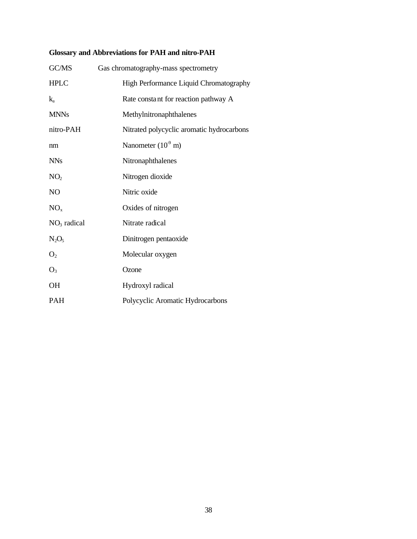# **Glossary and Abbreviations for PAH and nitro-PAH**

| GC/MS           | Gas chromatography-mass spectrometry      |
|-----------------|-------------------------------------------|
| <b>HPLC</b>     | High Performance Liquid Chromatography    |
| $k_{a}$         | Rate constant for reaction pathway A      |
| <b>MNNs</b>     | Methylnitronaphthalenes                   |
| nitro-PAH       | Nitrated polycyclic aromatic hydrocarbons |
| nm              | Nanometer $(10^9 \text{ m})$              |
| <b>NNs</b>      | Nitronaphthalenes                         |
| NO <sub>2</sub> | Nitrogen dioxide                          |
| NO              | Nitric oxide                              |
| NO <sub>x</sub> | Oxides of nitrogen                        |
| $NO3$ radical   | Nitrate radical                           |
| $N_2O_5$        | Dinitrogen pentaoxide                     |
| O <sub>2</sub>  | Molecular oxygen                          |
| $O_3$           | Ozone                                     |
| <b>OH</b>       | Hydroxyl radical                          |
| <b>PAH</b>      | Polycyclic Aromatic Hydrocarbons          |